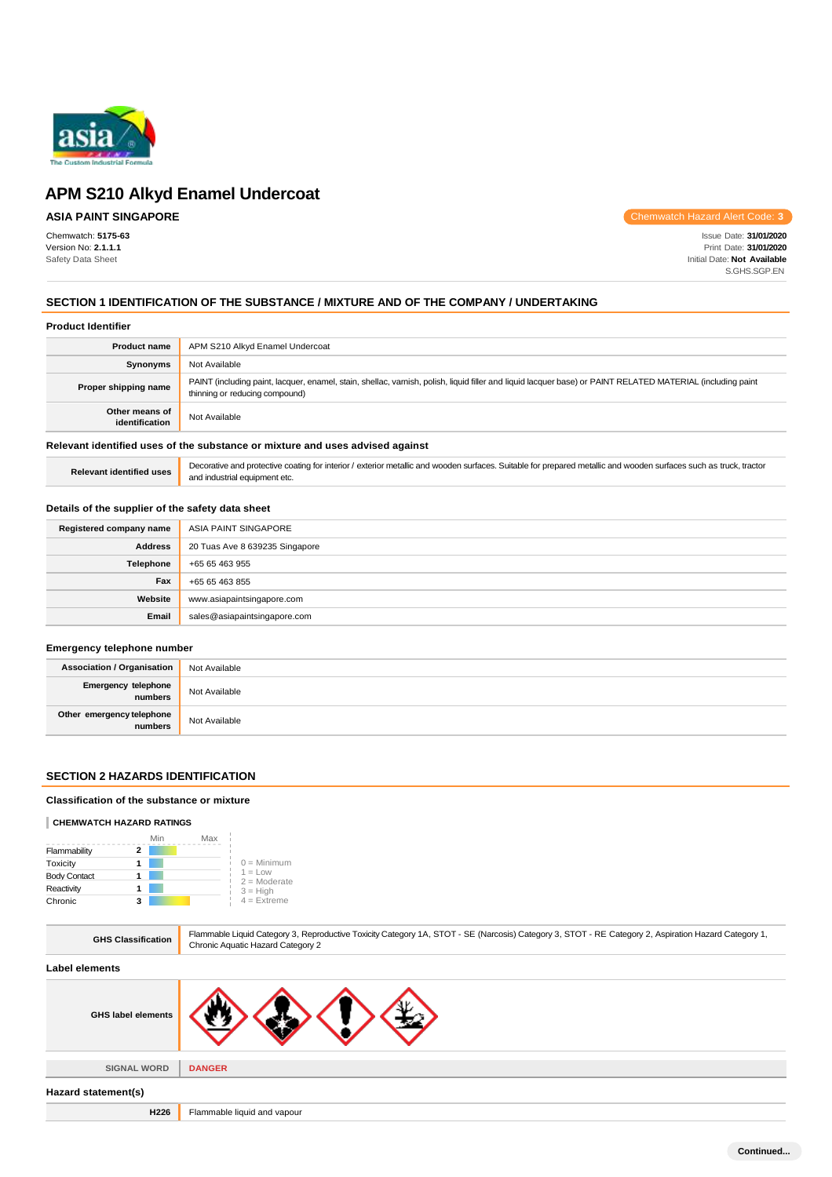

# **ASIA PAINT SINGAPORE**

Chemwatch: **5175-63** Version No: **2.1.1.1** Safety Data Sheet

Chemwatch Hazard Alert Code: **3**

Issue Date: **31/01/2020** Print Date: **31/01/2020** Initial Date: **Not Available** S.GHS.SGP.EN

# **SECTION 1 IDENTIFICATION OF THE SUBSTANCE / MIXTURE AND OF THE COMPANY / UNDERTAKING**

#### **Product Identifier**

| <b>Product name</b>                                                           | APM S210 Alkyd Enamel Undercoat                                                                                                                                                               |  |
|-------------------------------------------------------------------------------|-----------------------------------------------------------------------------------------------------------------------------------------------------------------------------------------------|--|
| Synonyms                                                                      | Not Available                                                                                                                                                                                 |  |
| Proper shipping name                                                          | PAINT (including paint, lacquer, enamel, stain, shellac, varnish, polish, liquid filler and liquid lacquer base) or PAINT RELATED MATERIAL (including paint<br>thinning or reducing compound) |  |
| Other means of<br>identification                                              | Not Available                                                                                                                                                                                 |  |
| Relevant identified uses of the substance or mixture and uses advised against |                                                                                                                                                                                               |  |

Relevant identified uses **Decorative and protective coating for interior** / exterior metallic and wooden surfaces. Suitable for prepared metallic and wooden surfaces such as truck, tractor and industrial equipment etc.

### **Details of the supplier of the safety data sheet**

| Registered company name | ASIA PAINT SINGAPORE           |
|-------------------------|--------------------------------|
| <b>Address</b>          | 20 Tuas Ave 8 639235 Singapore |
| Telephone               | +65 65 463 955                 |
| Fax                     | +65 65 463 855                 |
| Website                 | www.asiapaintsingapore.com     |
| Email                   | sales@asiapaintsingapore.com   |

# **Emergency telephone number**

| <b>Association / Organisation</b>    | Not Available |
|--------------------------------------|---------------|
| Emergency telephone<br>numbers       | Not Available |
| Other emergency telephone<br>numbers | Not Available |

# **SECTION 2 HAZARDS IDENTIFICATION**

#### **Classification of the substance or mixture**

#### **CHEMWATCH HAZARD RATINGS**

|                     | Min | Max |                             |
|---------------------|-----|-----|-----------------------------|
| Flammability        |     |     |                             |
| Toxicity            |     |     | $0 =$ Minimum               |
| <b>Body Contact</b> |     |     | $1 = Low$<br>$2 =$ Moderate |
| Reactivity          |     |     | $3 = High$                  |
| Chronic             |     |     | $4$ = Extreme               |

| <b>GHS Classification</b> | Flammable Liquid Category 3, Reproductive Toxicity Category 1A, STOT - SE (Narcosis) Category 3, STOT - RE Category 2, Aspiration Hazard Category 1,<br>Chronic Aquatic Hazard Category 2 |
|---------------------------|-------------------------------------------------------------------------------------------------------------------------------------------------------------------------------------------|
| Label elements            |                                                                                                                                                                                           |
| <b>GHS label elements</b> |                                                                                                                                                                                           |
| <b>SIGNAL WORD</b>        | <b>DANGER</b>                                                                                                                                                                             |
|                           |                                                                                                                                                                                           |
| Hazard statement(s)       |                                                                                                                                                                                           |
| H226                      | Flammable liquid and vapour                                                                                                                                                               |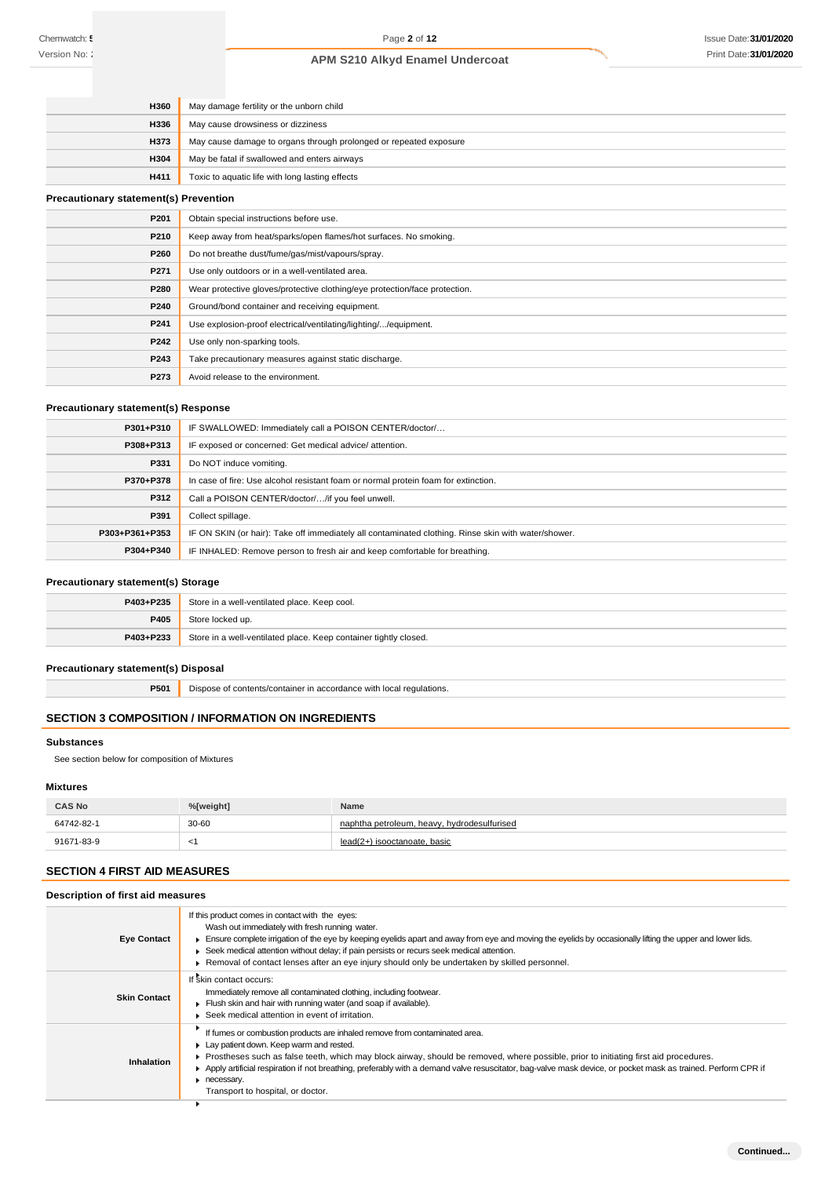| <b>H360</b> | May damage fertility or the unborn child                          |
|-------------|-------------------------------------------------------------------|
| <b>H336</b> | May cause drowsiness or dizziness                                 |
| <b>H373</b> | May cause damage to organs through prolonged or repeated exposure |
| <b>H304</b> | May be fatal if swallowed and enters airways                      |
| H411        | Toxic to aquatic life with long lasting effects                   |

### **Precautionary statement(s) Prevention**

| P201 | Obtain special instructions before use.                                    |
|------|----------------------------------------------------------------------------|
| P210 | Keep away from heat/sparks/open flames/hot surfaces. No smoking.           |
| P260 | Do not breathe dust/fume/gas/mist/vapours/spray.                           |
| P271 | Use only outdoors or in a well-ventilated area.                            |
| P280 | Wear protective gloves/protective clothing/eye protection/face protection. |
| P240 | Ground/bond container and receiving equipment.                             |
| P241 | Use explosion-proof electrical/ventilating/lighting//equipment.            |
| P242 | Use only non-sparking tools.                                               |
| P243 | Take precautionary measures against static discharge.                      |
| P273 | Avoid release to the environment.                                          |

# **Precautionary statement(s) Response**

| P301+P310      | IF SWALLOWED: Immediately call a POISON CENTER/doctor/                                              |
|----------------|-----------------------------------------------------------------------------------------------------|
| P308+P313      | IF exposed or concerned: Get medical advice/attention.                                              |
| P331           | Do NOT induce vomiting.                                                                             |
| P370+P378      | In case of fire: Use alcohol resistant foam or normal protein foam for extinction.                  |
| P312           | Call a POISON CENTER/doctor//if you feel unwell.                                                    |
| P391           | Collect spillage.                                                                                   |
| P303+P361+P353 | IF ON SKIN (or hair): Take off immediately all contaminated clothing. Rinse skin with water/shower. |
| P304+P340      | IF INHALED: Remove person to fresh air and keep comfortable for breathing.                          |

# **Precautionary statement(s) Storage**

| P403+P235 | Store in a well-ventilated place. Keep cool.                     |
|-----------|------------------------------------------------------------------|
| P405      | Store locked up.                                                 |
| P403+P233 | Store in a well-ventilated place. Keep container tightly closed. |

# **Precautionary statement(s) Disposal**

**P501** Dispose of contents/container in accordance with local regulations.

# **SECTION 3 COMPOSITION / INFORMATION ON INGREDIENTS**

### **Substances**

See section below for composition of Mixtures

# **Mixtures**

| <b>CAS No</b> | %[weight] | Name                                        |
|---------------|-----------|---------------------------------------------|
| 64742-82-1    | $30 - 60$ | naphtha petroleum, heavy, hydrodesulfurised |
| 91671-83-9    | `         | lead(2+) isooctanoate, basic                |

# **SECTION 4 FIRST AID MEASURES**

# **Description of first aid measures**

| <b>Eye Contact</b>  | If this product comes in contact with the eyes:<br>Wash out immediately with fresh running water.<br>Ensure complete irrigation of the eye by keeping eyelids apart and away from eye and moving the eyelids by occasionally lifting the upper and lower lids.<br>► Seek medical attention without delay; if pain persists or recurs seek medical attention.<br>▶ Removal of contact lenses after an eye injury should only be undertaken by skilled personnel.                  |
|---------------------|----------------------------------------------------------------------------------------------------------------------------------------------------------------------------------------------------------------------------------------------------------------------------------------------------------------------------------------------------------------------------------------------------------------------------------------------------------------------------------|
| <b>Skin Contact</b> | If skin contact occurs:<br>Immediately remove all contaminated clothing, including footwear.<br>Flush skin and hair with running water (and soap if available).<br>▶ Seek medical attention in event of irritation.                                                                                                                                                                                                                                                              |
| Inhalation          | If fumes or combustion products are inhaled remove from contaminated area.<br>Lay patient down. Keep warm and rested.<br>Prostheses such as false teeth, which may block airway, should be removed, where possible, prior to initiating first aid procedures.<br>Apply artificial respiration if not breathing, preferably with a demand valve resuscitator, bag-valve mask device, or pocket mask as trained. Perform CPR if<br>necessary.<br>Transport to hospital, or doctor. |
|                     |                                                                                                                                                                                                                                                                                                                                                                                                                                                                                  |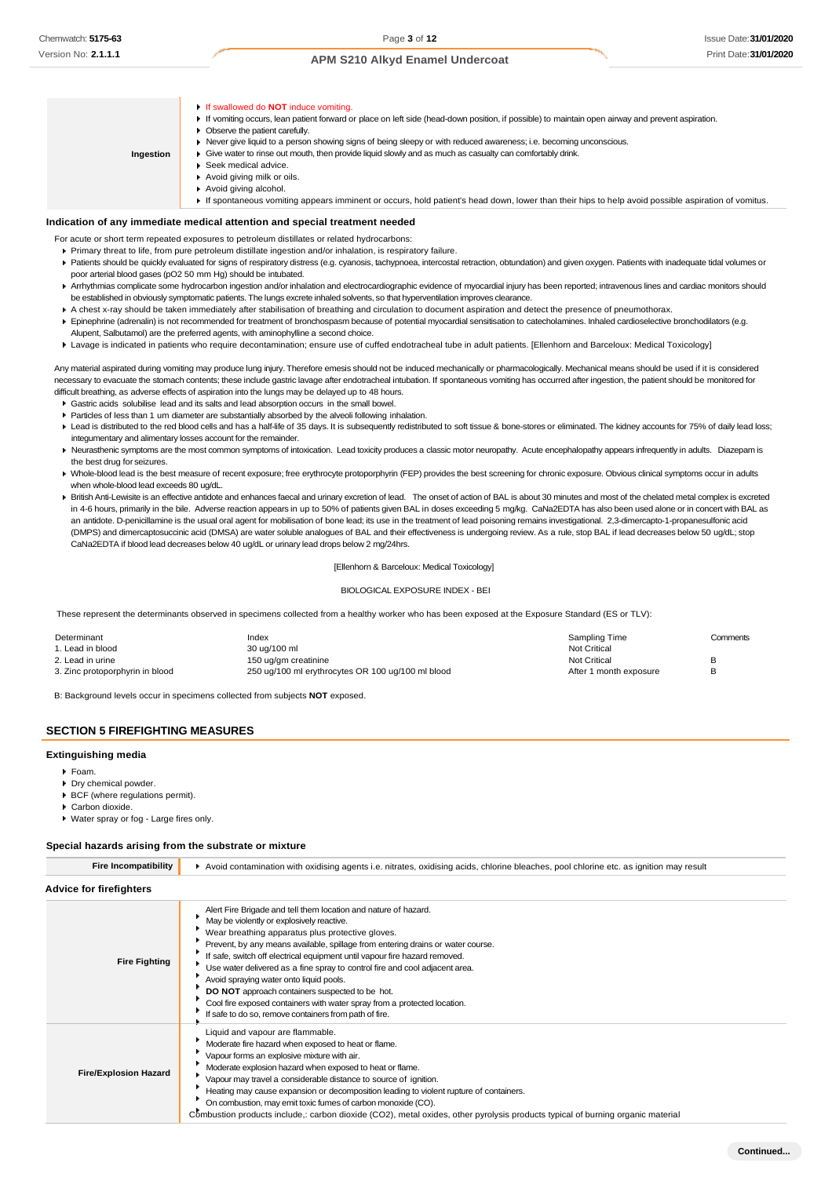**Indication of any immediate medical attention and special treatment needed** If swallowed do **NOT** induce vomiting. If vomiting occurs, lean patient forward or place on left side (head-down position, if possible) to maintain open airway and prevent aspiration. **Deserve the patient carefully.** Never give liquid to a person showing signs of being sleepy or with reduced awareness; i.e. becoming unconscious. Give water to rinse out mouth, then provide liquid slowly and as much as casualty can comfortably drink. ▶ Seek medical advice. Avoid giving milk or oils. Avoid giving alcohol. If spontaneous vomiting appears imminent or occurs, hold patient's head down, lower than their hips to help avoid possible aspiration of vomitus. **Ingestion**

- For acute or short term repeated exposures to petroleum distillates or related hydrocarbons:
	- Primary threat to life, from pure petroleum distillate ingestion and/or inhalation, is respiratory failure.
- Patients should be quickly evaluated for signs of respiratory distress (e.g. cyanosis, tachypnoea, intercostal retraction, obtundation) and given oxygen. Patients with inadequate tidal volumes or poor arterial blood gases (pO2 50 mm Hg) should be intubated.
- ▶ Arrhythmias complicate some hydrocarbon ingestion and/or inhalation and electrocardiographic evidence of myocardial injury has been reported; intravenous lines and cardiac monitors should be established in obviously symptomatic patients. The lungs excrete inhaled solvents, so that hyperventilation improves clearance.
- A chest x-ray should be taken immediately after stabilisation of breathing and circulation to document aspiration and detect the presence of pneumothorax.
- Epinephrine (adrenalin) is not recommended for treatment of bronchospasm because of potential myocardial sensitisation to catecholamines. Inhaled cardioselective bronchodilators (e.g. Alupent, Salbutamol) are the preferred agents, with aminophylline a second choice.
- Lavage is indicated in patients who require decontamination; ensure use of cuffed endotracheal tube in adult patients. [Ellenhorn and Barceloux: Medical Toxicology]

Any material aspirated during vomiting may produce lung injury. Therefore emesis should not be induced mechanically or pharmacologically. Mechanical means should be used if it is considered necessary to evacuate the stomach contents; these include gastric lavage after endotracheal intubation. If spontaneous vomiting has occurred after ingestion, the patient should be monitored for difficult breathing, as adverse effects of aspiration into the lungs may be delayed up to 48 hours.

- Gastric acids solubilise lead and its salts and lead absorption occurs in the small bowel.
- Particles of less than 1 um diameter are substantially absorbed by the alveoli following inhalation.
- Lead is distributed to the red blood cells and has a half-life of 35 days. It is subsequently redistributed to soft tissue & bone-stores or eliminated. The kidney accounts for 75% of daily lead loss; integumentary and alimentary losses account for the remainder.
- ▶ Neurasthenic symptoms are the most common symptoms of intoxication. Lead toxicity produces a classic motor neuropathy. Acute encephalopathy appears infrequently in adults. Diazepam is the best drug for seizures.
- ▶ Whole-blood lead is the best measure of recent exposure; free erythrocyte protoporphyrin (FEP) provides the best screening for chronic exposure. Obvious clinical symptoms occur in adults when whole-blood lead exceeds 80 ug/dL.
- ▶ British Anti-Lewisite is an effective antidote and enhances faecal and urinary excretion of lead. The onset of action of BAL is about 30 minutes and most of the chelated metal complex is excreted in 4-6 hours, primarily in the bile. Adverse reaction appears in up to 50% of patients given BAL in doses exceeding 5 mg/kg. CaNa2EDTA has also been used alone or in concert with BAL as an antidote. D-penicillamine is the usual oral agent for mobilisation of bone lead; its use in the treatment of lead poisoning remains investigational. 2,3-dimercapto-1-propanesulfonic acid (DMPS) and dimercaptosuccinic acid (DMSA) are water soluble analogues of BAL and their effectiveness is undergoing review. As a rule, stop BAL if lead decreases below 50 ug/dL; stop CaNa2EDTA if blood lead decreases below 40 ug/dL or urinary lead drops below 2 mg/24hrs.

#### [Ellenhorn & Barceloux: Medical Toxicology]

#### BIOLOGICAL EXPOSURE INDEX - BEI

These represent the determinants observed in specimens collected from a healthy worker who has been exposed at the Exposure Standard (ES or TLV):

| Determinant                     | Index                                             | Sampling Time          | Comments |
|---------------------------------|---------------------------------------------------|------------------------|----------|
| 1. Lead in blood                | 30 ug/100 ml                                      | Not Critical           |          |
| 2. Lead in urine                | 150 ug/gm creatinine                              | Not Critical           |          |
| 3. Zinc protoporphyrin in blood | 250 ug/100 ml erythrocytes OR 100 ug/100 ml blood | After 1 month exposure |          |

B: Background levels occur in specimens collected from subjects **NOT** exposed.

### **SECTION 5 FIREFIGHTING MEASURES**

#### **Extinguishing media**

- Foam.
- Dry chemical powder.
- BCF (where regulations permit).
- Carbon dioxide.
- Water spray or fog Large fires only.

#### **Special hazards arising from the substrate or mixture**

| <b>Fire Incompatibility</b>    | Avoid contamination with oxidising agents i.e. nitrates, oxidising acids, chlorine bleaches, pool chlorine etc. as ignition may result                                                                                                                                                                                                                                                                                                                                                                                                                                                                                                               |  |  |
|--------------------------------|------------------------------------------------------------------------------------------------------------------------------------------------------------------------------------------------------------------------------------------------------------------------------------------------------------------------------------------------------------------------------------------------------------------------------------------------------------------------------------------------------------------------------------------------------------------------------------------------------------------------------------------------------|--|--|
| <b>Advice for firefighters</b> |                                                                                                                                                                                                                                                                                                                                                                                                                                                                                                                                                                                                                                                      |  |  |
| <b>Fire Fighting</b>           | Alert Fire Brigade and tell them location and nature of hazard.<br>May be violently or explosively reactive.<br>Wear breathing apparatus plus protective gloves.<br>Prevent, by any means available, spillage from entering drains or water course.<br>If safe, switch off electrical equipment until vapour fire hazard removed.<br>Use water delivered as a fine spray to control fire and cool adjacent area.<br>Avoid spraying water onto liquid pools.<br>DO NOT approach containers suspected to be hot.<br>Cool fire exposed containers with water spray from a protected location.<br>If safe to do so, remove containers from path of fire. |  |  |
| <b>Fire/Explosion Hazard</b>   | Liquid and vapour are flammable.<br>Moderate fire hazard when exposed to heat or flame.<br>Vapour forms an explosive mixture with air.<br>Moderate explosion hazard when exposed to heat or flame.<br>Vapour may travel a considerable distance to source of ignition.<br>Heating may cause expansion or decomposition leading to violent rupture of containers.<br>On combustion, may emit toxic fumes of carbon monoxide (CO).<br>Combustion products include, carbon dioxide (CO2), metal oxides, other pyrolysis products typical of burning organic material                                                                                    |  |  |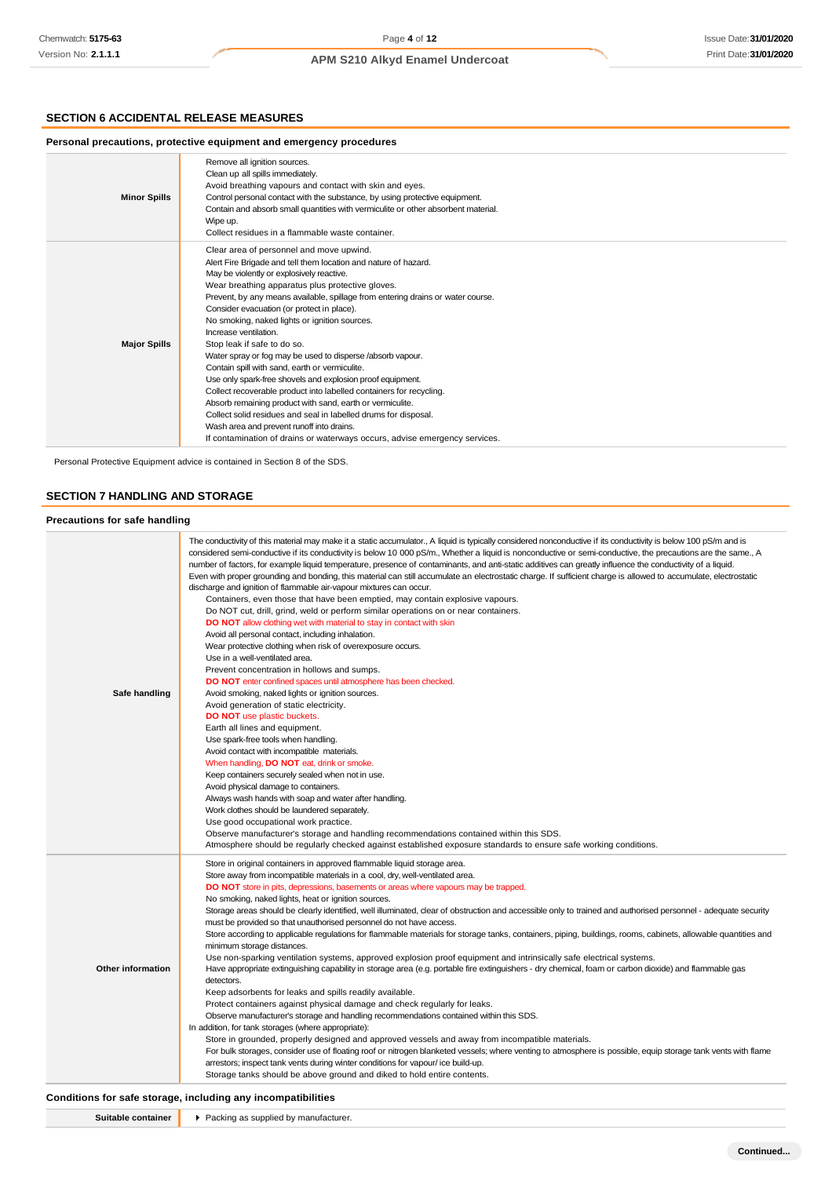# **SECTION 6 ACCIDENTAL RELEASE MEASURES**

| Personal precautions, protective equipment and emergency procedures |                                                                                                                                                                                                                                                                                                                                                                                                                                                                                                                                                                                                                                                                                                                                                                                                                                                                                                                                                                        |  |
|---------------------------------------------------------------------|------------------------------------------------------------------------------------------------------------------------------------------------------------------------------------------------------------------------------------------------------------------------------------------------------------------------------------------------------------------------------------------------------------------------------------------------------------------------------------------------------------------------------------------------------------------------------------------------------------------------------------------------------------------------------------------------------------------------------------------------------------------------------------------------------------------------------------------------------------------------------------------------------------------------------------------------------------------------|--|
| <b>Minor Spills</b>                                                 | Remove all ignition sources.<br>Clean up all spills immediately.<br>Avoid breathing vapours and contact with skin and eyes.<br>Control personal contact with the substance, by using protective equipment.<br>Contain and absorb small quantities with vermiculite or other absorbent material.<br>Wipe up.<br>Collect residues in a flammable waste container.                                                                                                                                                                                                                                                                                                                                                                                                                                                                                                                                                                                                        |  |
| <b>Major Spills</b>                                                 | Clear area of personnel and move upwind.<br>Alert Fire Brigade and tell them location and nature of hazard.<br>May be violently or explosively reactive.<br>Wear breathing apparatus plus protective gloves.<br>Prevent, by any means available, spillage from entering drains or water course.<br>Consider evacuation (or protect in place).<br>No smoking, naked lights or ignition sources.<br>Increase ventilation.<br>Stop leak if safe to do so.<br>Water spray or fog may be used to disperse /absorb vapour.<br>Contain spill with sand, earth or vermiculite.<br>Use only spark-free shovels and explosion proof equipment.<br>Collect recoverable product into labelled containers for recycling.<br>Absorb remaining product with sand, earth or vermiculite.<br>Collect solid residues and seal in labelled drums for disposal.<br>Wash area and prevent runoff into drains.<br>If contamination of drains or waterways occurs, advise emergency services. |  |

Personal Protective Equipment advice is contained in Section 8 of the SDS.

# **SECTION 7 HANDLING AND STORAGE**

### **Precautions for safe handling**

| Safe handling     | The conductivity of this material may make it a static accumulator., A liquid is typically considered nonconductive if its conductivity is below 100 pS/m and is<br>considered semi-conductive if its conductivity is below 10 000 pS/m., Whether a liquid is nonconductive or semi-conductive, the precautions are the same., A<br>number of factors, for example liquid temperature, presence of contaminants, and anti-static additives can greatly influence the conductivity of a liquid.<br>Even with proper grounding and bonding, this material can still accumulate an electrostatic charge. If sufficient charge is allowed to accumulate, electrostatic<br>discharge and ignition of flammable air-vapour mixtures can occur.<br>Containers, even those that have been emptied, may contain explosive vapours.<br>Do NOT cut, drill, grind, weld or perform similar operations on or near containers.<br><b>DO NOT</b> allow clothing wet with material to stay in contact with skin<br>Avoid all personal contact, including inhalation.<br>Wear protective clothing when risk of overexposure occurs.<br>Use in a well-ventilated area.<br>Prevent concentration in hollows and sumps.<br>DO NOT enter confined spaces until atmosphere has been checked.<br>Avoid smoking, naked lights or ignition sources.<br>Avoid generation of static electricity.<br><b>DO NOT</b> use plastic buckets.<br>Earth all lines and equipment.<br>Use spark-free tools when handling.<br>Avoid contact with incompatible materials.<br>When handling, DO NOT eat, drink or smoke.<br>Keep containers securely sealed when not in use.<br>Avoid physical damage to containers.<br>Always wash hands with soap and water after handling.<br>Work clothes should be laundered separately.<br>Use good occupational work practice.<br>Observe manufacturer's storage and handling recommendations contained within this SDS.<br>Atmosphere should be regularly checked against established exposure standards to ensure safe working conditions. |
|-------------------|---------------------------------------------------------------------------------------------------------------------------------------------------------------------------------------------------------------------------------------------------------------------------------------------------------------------------------------------------------------------------------------------------------------------------------------------------------------------------------------------------------------------------------------------------------------------------------------------------------------------------------------------------------------------------------------------------------------------------------------------------------------------------------------------------------------------------------------------------------------------------------------------------------------------------------------------------------------------------------------------------------------------------------------------------------------------------------------------------------------------------------------------------------------------------------------------------------------------------------------------------------------------------------------------------------------------------------------------------------------------------------------------------------------------------------------------------------------------------------------------------------------------------------------------------------------------------------------------------------------------------------------------------------------------------------------------------------------------------------------------------------------------------------------------------------------------------------------------------------------------------------------------------------------------------------------------------------------------------------------------------------------------------------------------|
| Other information | Store in original containers in approved flammable liquid storage area.<br>Store away from incompatible materials in a cool, dry, well-ventilated area.<br><b>DO NOT</b> store in pits, depressions, basements or areas where vapours may be trapped.<br>No smoking, naked lights, heat or ignition sources.<br>Storage areas should be clearly identified, well illuminated, clear of obstruction and accessible only to trained and authorised personnel - adequate security<br>must be provided so that unauthorised personnel do not have access.<br>Store according to applicable regulations for flammable materials for storage tanks, containers, piping, buildings, rooms, cabinets, allowable quantities and<br>minimum storage distances.<br>Use non-sparking ventilation systems, approved explosion proof equipment and intrinsically safe electrical systems.<br>Have appropriate extinguishing capability in storage area (e.g. portable fire extinguishers - dry chemical, foam or carbon dioxide) and flammable gas<br>detectors.<br>Keep adsorbents for leaks and spills readily available.<br>Protect containers against physical damage and check regularly for leaks.<br>Observe manufacturer's storage and handling recommendations contained within this SDS.<br>In addition, for tank storages (where appropriate):<br>Store in grounded, properly designed and approved vessels and away from incompatible materials.<br>For bulk storages, consider use of floating roof or nitrogen blanketed vessels; where venting to atmosphere is possible, equip storage tank vents with flame<br>arrestors; inspect tank vents during winter conditions for vapour/ice build-up.<br>Storage tanks should be above ground and diked to hold entire contents.                                                                                                                                                                                                                                                                |

# **Conditions for safe storage, including any incompatibilities**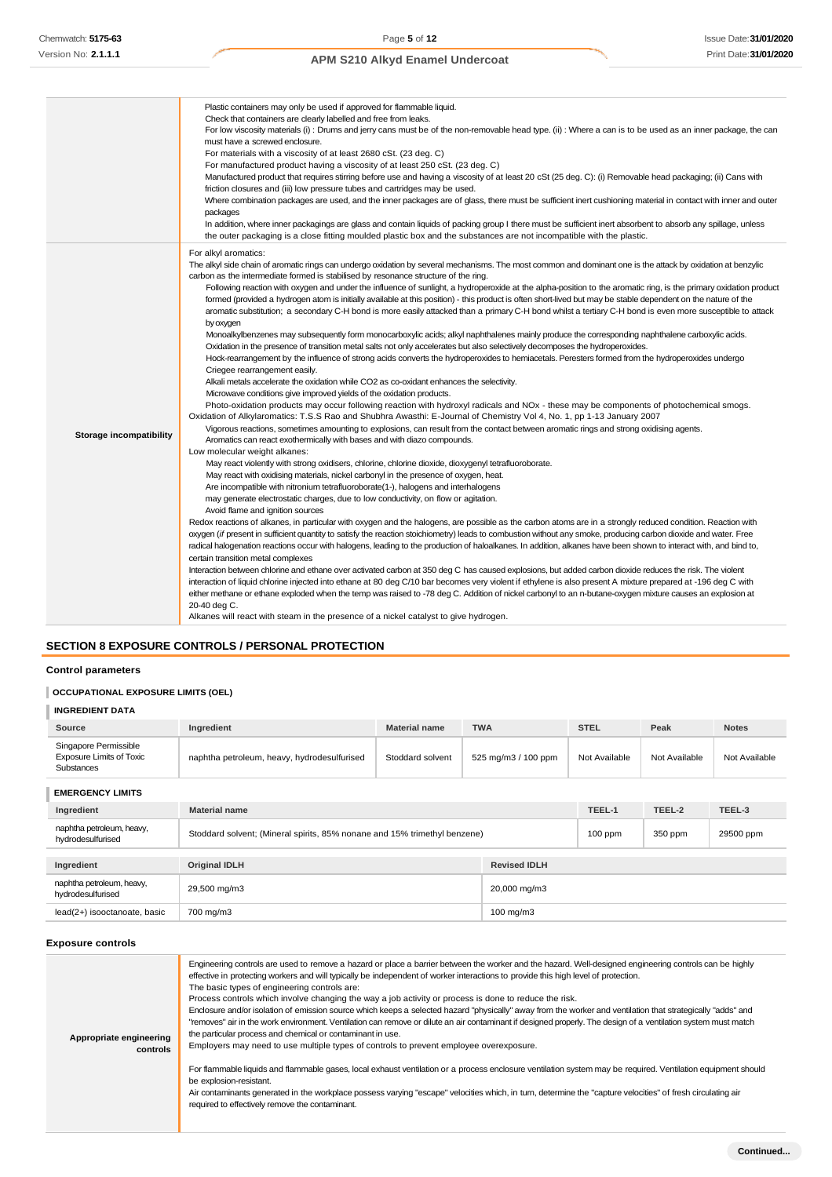|                                | Plastic containers may only be used if approved for flammable liquid.                                                                                                                                                                              |
|--------------------------------|----------------------------------------------------------------------------------------------------------------------------------------------------------------------------------------------------------------------------------------------------|
|                                | Check that containers are clearly labelled and free from leaks.                                                                                                                                                                                    |
|                                | For low viscosity materials (i): Drums and jerry cans must be of the non-removable head type. (ii): Where a can is to be used as an inner package, the can<br>must have a screwed enclosure.                                                       |
|                                | For materials with a viscosity of at least 2680 cSt. (23 deg. C)                                                                                                                                                                                   |
|                                | For manufactured product having a viscosity of at least 250 cSt. (23 deg. C)                                                                                                                                                                       |
|                                | Manufactured product that requires stirring before use and having a viscosity of at least 20 cSt (25 deg. C): (i) Removable head packaging; (ii) Cans with                                                                                         |
|                                | friction closures and (iii) low pressure tubes and cartridges may be used.                                                                                                                                                                         |
|                                | Where combination packages are used, and the inner packages are of glass, there must be sufficient inert cushioning material in contact with inner and outer                                                                                       |
|                                | packages                                                                                                                                                                                                                                           |
|                                | In addition, where inner packagings are glass and contain liquids of packing group I there must be sufficient inert absorbent to absorb any spillage, unless                                                                                       |
|                                | the outer packaging is a close fitting moulded plastic box and the substances are not incompatible with the plastic.                                                                                                                               |
|                                | For alkyl aromatics:                                                                                                                                                                                                                               |
|                                | The alkyl side chain of aromatic rings can undergo oxidation by several mechanisms. The most common and dominant one is the attack by oxidation at benzylic<br>carbon as the intermediate formed is stabilised by resonance structure of the ring. |
|                                | Following reaction with oxygen and under the influence of sunlight, a hydroperoxide at the alpha-position to the aromatic ring, is the primary oxidation product                                                                                   |
|                                | formed (provided a hydrogen atom is initially available at this position) - this product is often short-lived but may be stable dependent on the nature of the                                                                                     |
|                                | aromatic substitution; a secondary C-H bond is more easily attacked than a primary C-H bond whilst a tertiary C-H bond is even more susceptible to attack                                                                                          |
|                                | by oxygen                                                                                                                                                                                                                                          |
|                                | Monoalkylbenzenes may subsequently form monocarboxylic acids; alkyl naphthalenes mainly produce the corresponding naphthalene carboxylic acids.                                                                                                    |
|                                | Oxidation in the presence of transition metal salts not only accelerates but also selectively decomposes the hydroperoxides.                                                                                                                       |
|                                | Hock-rearrangement by the influence of strong acids converts the hydroperoxides to hemiacetals. Peresters formed from the hydroperoxides undergo                                                                                                   |
|                                | Criegee rearrangement easily.                                                                                                                                                                                                                      |
|                                | Alkali metals accelerate the oxidation while CO2 as co-oxidant enhances the selectivity.                                                                                                                                                           |
|                                | Microwave conditions give improved yields of the oxidation products.                                                                                                                                                                               |
|                                | Photo-oxidation products may occur following reaction with hydroxyl radicals and NOx - these may be components of photochemical smogs.                                                                                                             |
|                                | Oxidation of Alkylaromatics: T.S.S Rao and Shubhra Awasthi: E-Journal of Chemistry Vol 4, No. 1, pp 1-13 January 2007                                                                                                                              |
| <b>Storage incompatibility</b> | Vigorous reactions, sometimes amounting to explosions, can result from the contact between aromatic rings and strong oxidising agents.                                                                                                             |
|                                | Aromatics can react exothermically with bases and with diazo compounds.<br>Low molecular weight alkanes:                                                                                                                                           |
|                                | May react violently with strong oxidisers, chlorine, chlorine dioxide, dioxygenyl tetrafluoroborate.                                                                                                                                               |
|                                | May react with oxidising materials, nickel carbonyl in the presence of oxygen, heat.                                                                                                                                                               |
|                                | Are incompatible with nitronium tetrafluoroborate(1-), halogens and interhalogens                                                                                                                                                                  |
|                                | may generate electrostatic charges, due to low conductivity, on flow or agitation.                                                                                                                                                                 |
|                                | Avoid flame and ignition sources                                                                                                                                                                                                                   |
|                                | Redox reactions of alkanes, in particular with oxygen and the halogens, are possible as the carbon atoms are in a strongly reduced condition. Reaction with                                                                                        |
|                                | oxygen (if present in sufficient quantity to satisfy the reaction stoichiometry) leads to combustion without any smoke, producing carbon dioxide and water. Free                                                                                   |
|                                | radical halogenation reactions occur with halogens, leading to the production of haloalkanes. In addition, alkanes have been shown to interact with, and bind to,                                                                                  |
|                                | certain transition metal complexes                                                                                                                                                                                                                 |
|                                | Interaction between chlorine and ethane over activated carbon at 350 deg C has caused explosions, but added carbon dioxide reduces the risk. The violent                                                                                           |
|                                | interaction of liquid chlorine injected into ethane at 80 deg C/10 bar becomes very violent if ethylene is also present A mixture prepared at -196 deg C with                                                                                      |
|                                | either methane or ethane exploded when the temp was raised to -78 deg C. Addition of nickel carbonyl to an n-butane-oxygen mixture causes an explosion at                                                                                          |
|                                | 20-40 deg C.                                                                                                                                                                                                                                       |
|                                | Alkanes will react with steam in the presence of a nickel catalyst to give hydrogen.                                                                                                                                                               |

# **SECTION 8 EXPOSURE CONTROLS / PERSONAL PROTECTION**

# **Control parameters**

# **OCCUPATIONAL EXPOSURE LIMITS (OEL)**

| <b>INGREDIENT DATA</b>                                                        |                                                                           |                      |                     |               |               |               |  |
|-------------------------------------------------------------------------------|---------------------------------------------------------------------------|----------------------|---------------------|---------------|---------------|---------------|--|
| Source                                                                        | Ingredient                                                                | <b>Material name</b> | <b>TWA</b>          | <b>STEL</b>   | Peak          | <b>Notes</b>  |  |
| Singapore Permissible<br><b>Exposure Limits of Toxic</b><br><b>Substances</b> | naphtha petroleum, heavy, hydrodesulfurised                               | Stoddard solvent     | 525 mg/m3 / 100 ppm | Not Available | Not Available | Not Available |  |
| <b>EMERGENCY LIMITS</b>                                                       |                                                                           |                      |                     |               |               |               |  |
| Ingredient                                                                    | <b>Material name</b>                                                      |                      | TEEL-1              | TEEL-2        | TEEL-3        |               |  |
| naphtha petroleum, heavy,<br>hydrodesulfurised                                | Stoddard solvent; (Mineral spirits, 85% nonane and 15% trimethyl benzene) |                      | $100$ ppm           | 350 ppm       | 29500 ppm     |               |  |
| Ingredient                                                                    | <b>Original IDLH</b>                                                      | <b>Revised IDLH</b>  |                     |               |               |               |  |
| naphtha petroleum, heavy,<br>hydrodesulfurised                                | 29,500 mg/m3                                                              |                      | 20,000 mg/m3        |               |               |               |  |
| lead(2+) isooctanoate, basic                                                  | 700 mg/m3<br>100 mg/m3                                                    |                      |                     |               |               |               |  |

### **Exposure controls**

| Appropriate engineering<br>controls | Engineering controls are used to remove a hazard or place a barrier between the worker and the hazard. Well-designed engineering controls can be highly<br>effective in protecting workers and will typically be independent of worker interactions to provide this high level of protection.<br>The basic types of engineering controls are:<br>Process controls which involve changing the way a job activity or process is done to reduce the risk.<br>Enclosure and/or isolation of emission source which keeps a selected hazard "physically" away from the worker and ventilation that strategically "adds" and<br>"removes" air in the work environment. Ventilation can remove or dilute an air contaminant if designed properly. The design of a ventilation system must match<br>the particular process and chemical or contaminant in use.<br>Employers may need to use multiple types of controls to prevent employee overexposure.<br>For flammable liquids and flammable gases, local exhaust ventilation or a process enclosure ventilation system may be required. Ventilation equipment should<br>be explosion-resistant.<br>Air contaminants generated in the workplace possess varying "escape" velocities which, in turn, determine the "capture velocities" of fresh circulating air<br>required to effectively remove the contaminant. |
|-------------------------------------|--------------------------------------------------------------------------------------------------------------------------------------------------------------------------------------------------------------------------------------------------------------------------------------------------------------------------------------------------------------------------------------------------------------------------------------------------------------------------------------------------------------------------------------------------------------------------------------------------------------------------------------------------------------------------------------------------------------------------------------------------------------------------------------------------------------------------------------------------------------------------------------------------------------------------------------------------------------------------------------------------------------------------------------------------------------------------------------------------------------------------------------------------------------------------------------------------------------------------------------------------------------------------------------------------------------------------------------------------------------|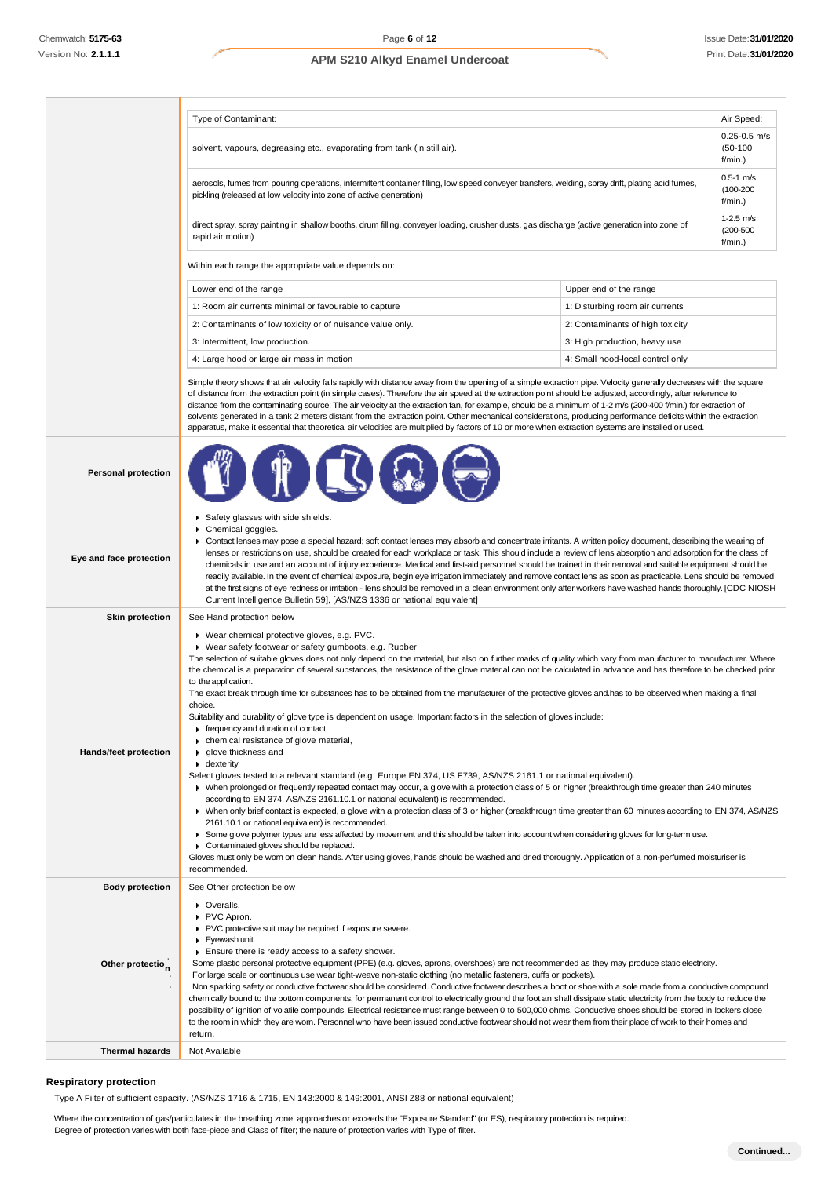|                              | Type of Contaminant:<br>Air Speed:                                                                                                                                                                                                                                                                                                                                                                                                                                                                                                                                                                                                                                                                                                                                                                                                                                                                                                                                                                                                                                                                                                                                                                                                                                                                                                                                                                                                                                                                                                                                                                                                                                                                                                                                                                                                                          |                                  |                  |
|------------------------------|-------------------------------------------------------------------------------------------------------------------------------------------------------------------------------------------------------------------------------------------------------------------------------------------------------------------------------------------------------------------------------------------------------------------------------------------------------------------------------------------------------------------------------------------------------------------------------------------------------------------------------------------------------------------------------------------------------------------------------------------------------------------------------------------------------------------------------------------------------------------------------------------------------------------------------------------------------------------------------------------------------------------------------------------------------------------------------------------------------------------------------------------------------------------------------------------------------------------------------------------------------------------------------------------------------------------------------------------------------------------------------------------------------------------------------------------------------------------------------------------------------------------------------------------------------------------------------------------------------------------------------------------------------------------------------------------------------------------------------------------------------------------------------------------------------------------------------------------------------------|----------------------------------|------------------|
|                              | $(50-100)$<br>solvent, vapours, degreasing etc., evaporating from tank (in still air).<br>$f/min.$ )                                                                                                                                                                                                                                                                                                                                                                                                                                                                                                                                                                                                                                                                                                                                                                                                                                                                                                                                                                                                                                                                                                                                                                                                                                                                                                                                                                                                                                                                                                                                                                                                                                                                                                                                                        |                                  | $0.25 - 0.5$ m/s |
|                              | $0.5 - 1$ m/s<br>aerosols, fumes from pouring operations, intermittent container filling, low speed conveyer transfers, welding, spray drift, plating acid fumes,<br>$(100 - 200)$<br>pickling (released at low velocity into zone of active generation)<br>f/min.)                                                                                                                                                                                                                                                                                                                                                                                                                                                                                                                                                                                                                                                                                                                                                                                                                                                                                                                                                                                                                                                                                                                                                                                                                                                                                                                                                                                                                                                                                                                                                                                         |                                  |                  |
|                              | $1-2.5$ m/s<br>direct spray, spray painting in shallow booths, drum filling, conveyer loading, crusher dusts, gas discharge (active generation into zone of<br>$(200 - 500)$<br>rapid air motion)                                                                                                                                                                                                                                                                                                                                                                                                                                                                                                                                                                                                                                                                                                                                                                                                                                                                                                                                                                                                                                                                                                                                                                                                                                                                                                                                                                                                                                                                                                                                                                                                                                                           |                                  | f/min.)          |
|                              | Within each range the appropriate value depends on:                                                                                                                                                                                                                                                                                                                                                                                                                                                                                                                                                                                                                                                                                                                                                                                                                                                                                                                                                                                                                                                                                                                                                                                                                                                                                                                                                                                                                                                                                                                                                                                                                                                                                                                                                                                                         |                                  |                  |
|                              | Lower end of the range                                                                                                                                                                                                                                                                                                                                                                                                                                                                                                                                                                                                                                                                                                                                                                                                                                                                                                                                                                                                                                                                                                                                                                                                                                                                                                                                                                                                                                                                                                                                                                                                                                                                                                                                                                                                                                      | Upper end of the range           |                  |
|                              | 1: Room air currents minimal or favourable to capture                                                                                                                                                                                                                                                                                                                                                                                                                                                                                                                                                                                                                                                                                                                                                                                                                                                                                                                                                                                                                                                                                                                                                                                                                                                                                                                                                                                                                                                                                                                                                                                                                                                                                                                                                                                                       | 1: Disturbing room air currents  |                  |
|                              | 2: Contaminants of low toxicity or of nuisance value only.                                                                                                                                                                                                                                                                                                                                                                                                                                                                                                                                                                                                                                                                                                                                                                                                                                                                                                                                                                                                                                                                                                                                                                                                                                                                                                                                                                                                                                                                                                                                                                                                                                                                                                                                                                                                  | 2: Contaminants of high toxicity |                  |
|                              | 3: Intermittent, low production.                                                                                                                                                                                                                                                                                                                                                                                                                                                                                                                                                                                                                                                                                                                                                                                                                                                                                                                                                                                                                                                                                                                                                                                                                                                                                                                                                                                                                                                                                                                                                                                                                                                                                                                                                                                                                            | 3: High production, heavy use    |                  |
|                              | 4: Large hood or large air mass in motion                                                                                                                                                                                                                                                                                                                                                                                                                                                                                                                                                                                                                                                                                                                                                                                                                                                                                                                                                                                                                                                                                                                                                                                                                                                                                                                                                                                                                                                                                                                                                                                                                                                                                                                                                                                                                   | 4: Small hood-local control only |                  |
|                              | Simple theory shows that air velocity falls rapidly with distance away from the opening of a simple extraction pipe. Velocity generally decreases with the square<br>of distance from the extraction point (in simple cases). Therefore the air speed at the extraction point should be adjusted, accordingly, after reference to<br>distance from the contaminating source. The air velocity at the extraction fan, for example, should be a minimum of 1-2 m/s (200-400 f/min.) for extraction of<br>solvents generated in a tank 2 meters distant from the extraction point. Other mechanical considerations, producing performance deficits within the extraction<br>apparatus, make it essential that theoretical air velocities are multiplied by factors of 10 or more when extraction systems are installed or used.                                                                                                                                                                                                                                                                                                                                                                                                                                                                                                                                                                                                                                                                                                                                                                                                                                                                                                                                                                                                                                |                                  |                  |
| <b>Personal protection</b>   |                                                                                                                                                                                                                                                                                                                                                                                                                                                                                                                                                                                                                                                                                                                                                                                                                                                                                                                                                                                                                                                                                                                                                                                                                                                                                                                                                                                                                                                                                                                                                                                                                                                                                                                                                                                                                                                             |                                  |                  |
| Eye and face protection      | Safety glasses with side shields.<br>Chemical goggles.<br>▶ Contact lenses may pose a special hazard; soft contact lenses may absorb and concentrate irritants. A written policy document, describing the wearing of<br>lenses or restrictions on use, should be created for each workplace or task. This should include a review of lens absorption and adsorption for the class of<br>chemicals in use and an account of injury experience. Medical and first-aid personnel should be trained in their removal and suitable equipment should be<br>readily available. In the event of chemical exposure, begin eye irrigation immediately and remove contact lens as soon as practicable. Lens should be removed<br>at the first signs of eye redness or irritation - lens should be removed in a clean environment only after workers have washed hands thoroughly. [CDC NIOSH<br>Current Intelligence Bulletin 59], [AS/NZS 1336 or national equivalent]                                                                                                                                                                                                                                                                                                                                                                                                                                                                                                                                                                                                                                                                                                                                                                                                                                                                                                |                                  |                  |
| <b>Skin protection</b>       | See Hand protection below                                                                                                                                                                                                                                                                                                                                                                                                                                                                                                                                                                                                                                                                                                                                                                                                                                                                                                                                                                                                                                                                                                                                                                                                                                                                                                                                                                                                                                                                                                                                                                                                                                                                                                                                                                                                                                   |                                  |                  |
| <b>Hands/feet protection</b> | ▶ Wear chemical protective gloves, e.g. PVC.<br>▶ Wear safety footwear or safety gumboots, e.g. Rubber<br>The selection of suitable gloves does not only depend on the material, but also on further marks of quality which vary from manufacturer to manufacturer. Where<br>the chemical is a preparation of several substances, the resistance of the glove material can not be calculated in advance and has therefore to be checked prior<br>to the application.<br>The exact break through time for substances has to be obtained from the manufacturer of the protective gloves and has to be observed when making a final<br>choice.<br>Suitability and durability of glove type is dependent on usage. Important factors in the selection of gloves include:<br>Firequency and duration of contact,<br>• chemical resistance of glove material,<br>▶ qlove thickness and<br>$\bullet$ dexterity<br>Select gloves tested to a relevant standard (e.g. Europe EN 374, US F739, AS/NZS 2161.1 or national equivalent).<br>▶ When prolonged or frequently repeated contact may occur, a glove with a protection class of 5 or higher (breakthrough time greater than 240 minutes<br>according to EN 374, AS/NZS 2161.10.1 or national equivalent) is recommended.<br>• When only brief contact is expected, a glove with a protection class of 3 or higher (breakthrough time greater than 60 minutes according to EN 374, AS/NZS<br>2161.10.1 or national equivalent) is recommended.<br>• Some glove polymer types are less affected by movement and this should be taken into account when considering gloves for long-term use.<br>Contaminated gloves should be replaced.<br>Gloves must only be wom on clean hands. After using gloves, hands should be washed and dried thoroughly. Application of a non-perfumed moisturiser is<br>recommended. |                                  |                  |
| <b>Body protection</b>       | See Other protection below                                                                                                                                                                                                                                                                                                                                                                                                                                                                                                                                                                                                                                                                                                                                                                                                                                                                                                                                                                                                                                                                                                                                                                                                                                                                                                                                                                                                                                                                                                                                                                                                                                                                                                                                                                                                                                  |                                  |                  |
| Other protectio <sub>n</sub> | • Overalls.<br>PVC Apron.<br>PVC protective suit may be required if exposure severe.<br>Eyewash unit.<br>Ensure there is ready access to a safety shower.<br>Some plastic personal protective equipment (PPE) (e.g. gloves, aprons, overshoes) are not recommended as they may produce static electricity.<br>For large scale or continuous use wear tight-weave non-static clothing (no metallic fasteners, cuffs or pockets).<br>Non sparking safety or conductive footwear should be considered. Conductive footwear describes a boot or shoe with a sole made from a conductive compound<br>chemically bound to the bottom components, for permanent control to electrically ground the foot an shall dissipate static electricity from the body to reduce the<br>possibility of ignition of volatile compounds. Electrical resistance must range between 0 to 500,000 ohms. Conductive shoes should be stored in lockers close<br>to the room in which they are worn. Personnel who have been issued conductive footwear should not wear them from their place of work to their homes and<br>return.                                                                                                                                                                                                                                                                                                                                                                                                                                                                                                                                                                                                                                                                                                                                                   |                                  |                  |
| <b>Thermal hazards</b>       | Not Available                                                                                                                                                                                                                                                                                                                                                                                                                                                                                                                                                                                                                                                                                                                                                                                                                                                                                                                                                                                                                                                                                                                                                                                                                                                                                                                                                                                                                                                                                                                                                                                                                                                                                                                                                                                                                                               |                                  |                  |

### **Respiratory protection**

Type A Filter of sufficient capacity. (AS/NZS 1716 & 1715, EN 143:2000 & 149:2001, ANSI Z88 or national equivalent)

Where the concentration of gas/particulates in the breathing zone, approaches or exceeds the "Exposure Standard" (or ES), respiratory protection is required.

Degree of protection varies with both face-piece and Class of filter; the nature of protection varies with Type of filter.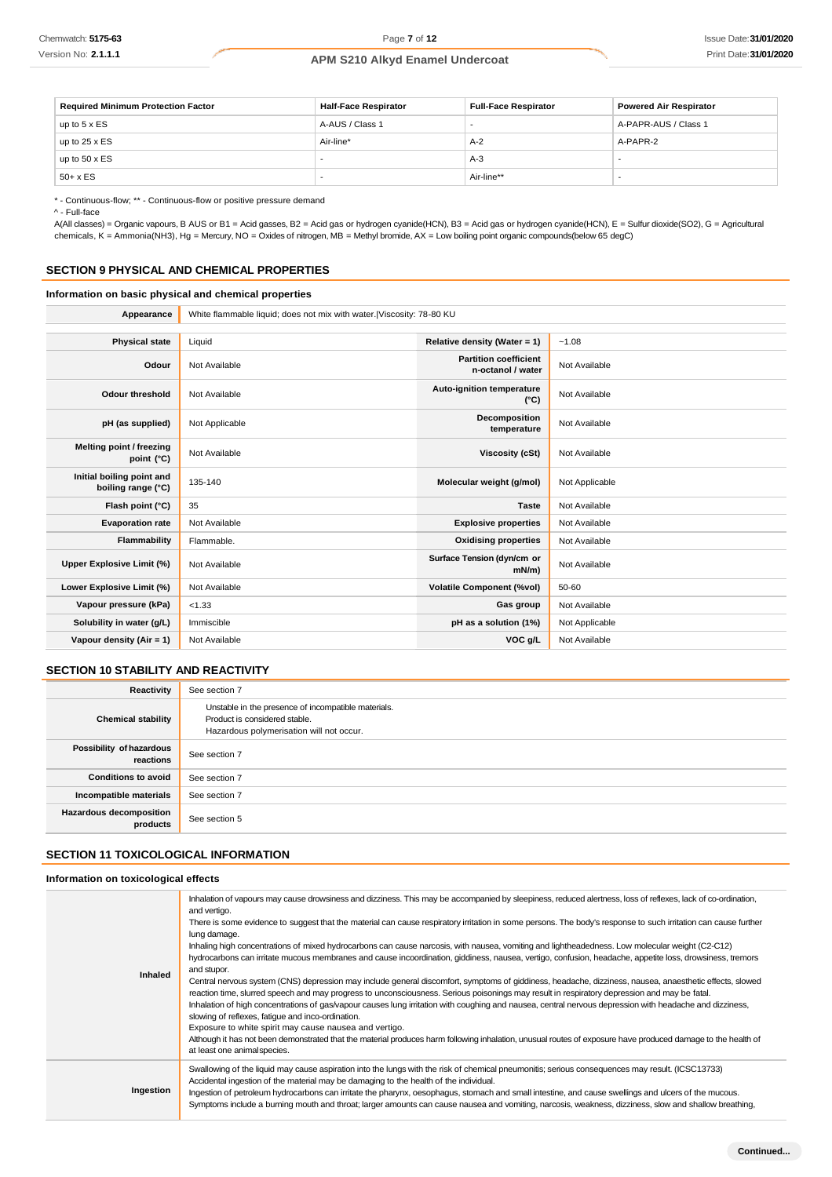| <b>Required Minimum Protection Factor</b> | <b>Half-Face Respirator</b> | <b>Full-Face Respirator</b> | <b>Powered Air Respirator</b> |
|-------------------------------------------|-----------------------------|-----------------------------|-------------------------------|
| up to $5 \times ES$                       | A-AUS / Class 1             |                             | A-PAPR-AUS / Class 1          |
| up to $25 \times ES$                      | Air-line*                   | $A-2$                       | A-PAPR-2                      |
| up to $50 \times ES$                      |                             | $A-3$                       | . .                           |
| $50+ x ES$                                |                             | Air-line**                  |                               |

\* - Continuous-flow; \*\* - Continuous-flow or positive pressure demand

^ - Full-face

A(All classes) = Organic vapours, B AUS or B1 = Acid gasses, B2 = Acid gas or hydrogen cyanide(HCN), B3 = Acid gas or hydrogen cyanide(HCN), E = Sulfur dioxide(SO2), G = Agricultural chemicals, K = Ammonia(NH3), Hg = Mercury, NO = Oxides of nitrogen, MB = Methyl bromide, AX = Low boiling point organic compounds(below 65 degC)

#### **SECTION 9 PHYSICAL AND CHEMICAL PROPERTIES**

#### **Information on basic physical and chemical properties**

Appearance White flammable liquid; does not mix with water.|Viscosity: 78-80 KU

| <b>Physical state</b>                           | Liquid         | Relative density (Water = 1)                      | $-1.08$        |
|-------------------------------------------------|----------------|---------------------------------------------------|----------------|
| Odour                                           | Not Available  | <b>Partition coefficient</b><br>n-octanol / water | Not Available  |
| <b>Odour threshold</b>                          | Not Available  | Auto-ignition temperature<br>$(^{\circ}C)$        | Not Available  |
| pH (as supplied)                                | Not Applicable | Decomposition<br>temperature                      | Not Available  |
| Melting point / freezing<br>point (°C)          | Not Available  | <b>Viscosity (cSt)</b>                            | Not Available  |
| Initial boiling point and<br>boiling range (°C) | 135-140        | Molecular weight (g/mol)                          | Not Applicable |
| Flash point (°C)                                | 35             | <b>Taste</b>                                      | Not Available  |
| <b>Evaporation rate</b>                         | Not Available  | <b>Explosive properties</b>                       | Not Available  |
| Flammability                                    | Flammable.     | <b>Oxidising properties</b>                       | Not Available  |
| Upper Explosive Limit (%)                       | Not Available  | Surface Tension (dyn/cm or<br>$mN/m$ )            | Not Available  |
| Lower Explosive Limit (%)                       | Not Available  | <b>Volatile Component (%vol)</b>                  | 50-60          |
| Vapour pressure (kPa)                           | < 1.33         | Gas group                                         | Not Available  |
| Solubility in water (g/L)                       | Immiscible     | pH as a solution (1%)                             | Not Applicable |
| Vapour density (Air = 1)                        | Not Available  | VOC g/L                                           | Not Available  |

### **SECTION 10 STABILITY AND REACTIVITY**

| Reactivity                            | See section 7                                                                                                                    |
|---------------------------------------|----------------------------------------------------------------------------------------------------------------------------------|
| <b>Chemical stability</b>             | Unstable in the presence of incompatible materials.<br>Product is considered stable.<br>Hazardous polymerisation will not occur. |
| Possibility of hazardous<br>reactions | See section 7                                                                                                                    |
| <b>Conditions to avoid</b>            | See section 7                                                                                                                    |
| Incompatible materials                | See section 7                                                                                                                    |
| Hazardous decomposition<br>products   | See section 5                                                                                                                    |

### **SECTION 11 TOXICOLOGICAL INFORMATION**

**Information on toxicological effects**

| Inhalation of vapours may cause drowsiness and dizziness. This may be accompanied by sleepiness, reduced alertness, loss of reflexes, lack of co-ordination,<br>and vertigo.<br>There is some evidence to suggest that the material can cause respiratory irritation in some persons. The body's response to such irritation can cause further<br>lung damage.<br>Inhaling high concentrations of mixed hydrocarbons can cause narcosis, with nausea, vomiting and lightheadedness. Low molecular weight (C2-C12)<br>hydrocarbons can irritate mucous membranes and cause incoordination, giddiness, nausea, vertigo, confusion, headache, appetite loss, drowsiness, tremors<br>and stupor.<br>Inhaled<br>Central nervous system (CNS) depression may include general discomfort, symptoms of giddiness, headache, dizziness, nausea, anaesthetic effects, slowed<br>reaction time, slurred speech and may progress to unconsciousness. Serious poisonings may result in respiratory depression and may be fatal.<br>Inhalation of high concentrations of gas/vapour causes lung irritation with coughing and nausea, central nervous depression with headache and dizziness,<br>slowing of reflexes, fatigue and inco-ordination.<br>Exposure to white spirit may cause nausea and vertigo.<br>Although it has not been demonstrated that the material produces harm following inhalation, unusual routes of exposure have produced damage to the health of<br>at least one animal species. |  |
|-----------------------------------------------------------------------------------------------------------------------------------------------------------------------------------------------------------------------------------------------------------------------------------------------------------------------------------------------------------------------------------------------------------------------------------------------------------------------------------------------------------------------------------------------------------------------------------------------------------------------------------------------------------------------------------------------------------------------------------------------------------------------------------------------------------------------------------------------------------------------------------------------------------------------------------------------------------------------------------------------------------------------------------------------------------------------------------------------------------------------------------------------------------------------------------------------------------------------------------------------------------------------------------------------------------------------------------------------------------------------------------------------------------------------------------------------------------------------------------------------|--|
| Swallowing of the liquid may cause aspiration into the lungs with the risk of chemical pneumonitis; serious consequences may result. (ICSC13733)<br>Accidental ingestion of the material may be damaging to the health of the individual.<br>Ingestion<br>Ingestion of petroleum hydrocarbons can irritate the pharynx, oesophagus, stomach and small intestine, and cause swellings and ulcers of the mucous.<br>Symptoms include a burning mouth and throat; larger amounts can cause nausea and vomiting, narcosis, weakness, dizziness, slow and shallow breathing,                                                                                                                                                                                                                                                                                                                                                                                                                                                                                                                                                                                                                                                                                                                                                                                                                                                                                                                       |  |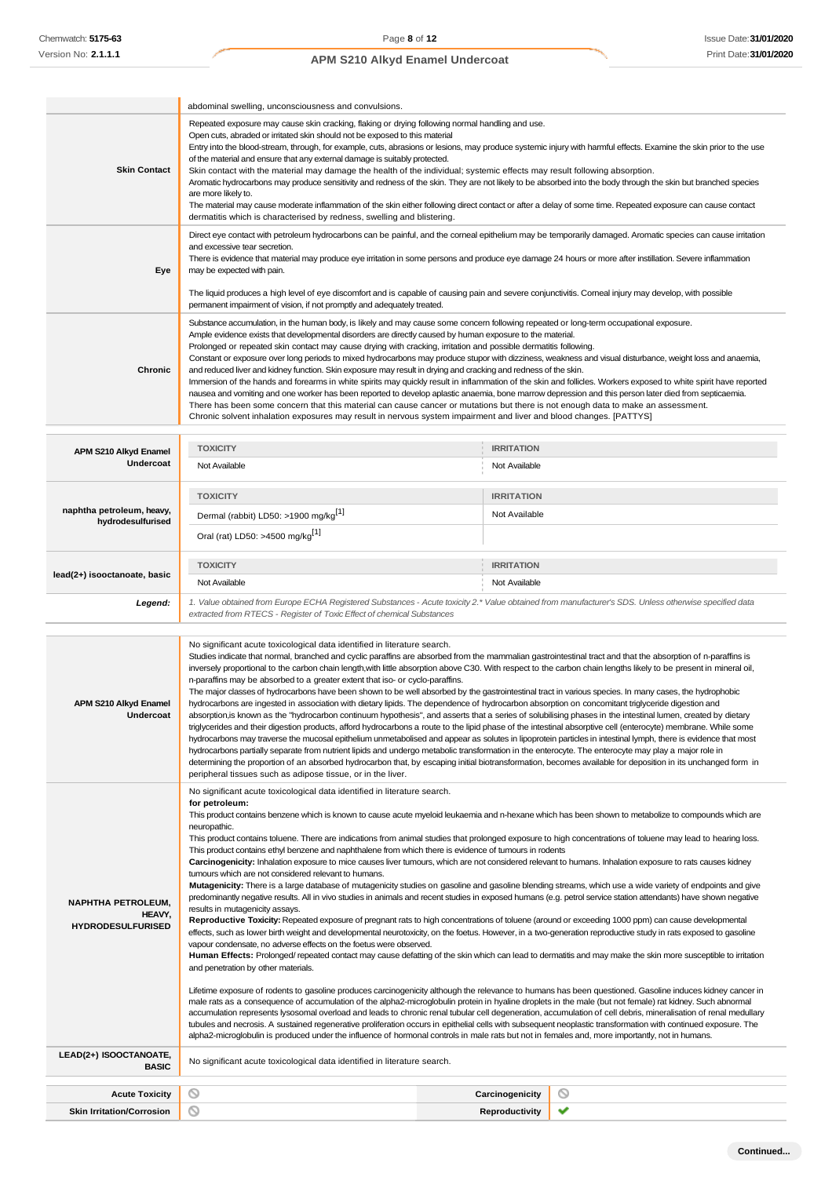|                                                                 | abdominal swelling, unconsciousness and convulsions.                                                                                                                                                                                                                                                                                                                                                                                                                                                                                                                                                                                                                                                                                                                                                                                                                                                                                                                                                                                                                                                                                                                                                                                                                                                                                                                                                                                                                                                                                                                                                                                                                                                                                                                                                                                                                                                                                                                                                                                                                                                                                                                                                                                                                                                                                                                                                      |                   |  |
|-----------------------------------------------------------------|-----------------------------------------------------------------------------------------------------------------------------------------------------------------------------------------------------------------------------------------------------------------------------------------------------------------------------------------------------------------------------------------------------------------------------------------------------------------------------------------------------------------------------------------------------------------------------------------------------------------------------------------------------------------------------------------------------------------------------------------------------------------------------------------------------------------------------------------------------------------------------------------------------------------------------------------------------------------------------------------------------------------------------------------------------------------------------------------------------------------------------------------------------------------------------------------------------------------------------------------------------------------------------------------------------------------------------------------------------------------------------------------------------------------------------------------------------------------------------------------------------------------------------------------------------------------------------------------------------------------------------------------------------------------------------------------------------------------------------------------------------------------------------------------------------------------------------------------------------------------------------------------------------------------------------------------------------------------------------------------------------------------------------------------------------------------------------------------------------------------------------------------------------------------------------------------------------------------------------------------------------------------------------------------------------------------------------------------------------------------------------------------------------------|-------------------|--|
| <b>Skin Contact</b>                                             | Repeated exposure may cause skin cracking, flaking or drying following normal handling and use.<br>Open cuts, abraded or irritated skin should not be exposed to this material<br>Entry into the blood-stream, through, for example, cuts, abrasions or lesions, may produce systemic injury with harmful effects. Examine the skin prior to the use<br>of the material and ensure that any external damage is suitably protected.<br>Skin contact with the material may damage the health of the individual; systemic effects may result following absorption.<br>Aromatic hydrocarbons may produce sensitivity and redness of the skin. They are not likely to be absorbed into the body through the skin but branched species<br>are more likely to.<br>The material may cause moderate inflammation of the skin either following direct contact or after a delay of some time. Repeated exposure can cause contact<br>dermatitis which is characterised by redness, swelling and blistering.                                                                                                                                                                                                                                                                                                                                                                                                                                                                                                                                                                                                                                                                                                                                                                                                                                                                                                                                                                                                                                                                                                                                                                                                                                                                                                                                                                                                          |                   |  |
| Eye                                                             | Direct eye contact with petroleum hydrocarbons can be painful, and the corneal epithelium may be temporarily damaged. Aromatic species can cause irritation<br>and excessive tear secretion.<br>There is evidence that material may produce eye irritation in some persons and produce eye damage 24 hours or more after instillation. Severe inflammation<br>may be expected with pain.                                                                                                                                                                                                                                                                                                                                                                                                                                                                                                                                                                                                                                                                                                                                                                                                                                                                                                                                                                                                                                                                                                                                                                                                                                                                                                                                                                                                                                                                                                                                                                                                                                                                                                                                                                                                                                                                                                                                                                                                                  |                   |  |
|                                                                 | The liquid produces a high level of eye discomfort and is capable of causing pain and severe conjunctivitis. Comeal injury may develop, with possible<br>permanent impairment of vision, if not promptly and adequately treated.                                                                                                                                                                                                                                                                                                                                                                                                                                                                                                                                                                                                                                                                                                                                                                                                                                                                                                                                                                                                                                                                                                                                                                                                                                                                                                                                                                                                                                                                                                                                                                                                                                                                                                                                                                                                                                                                                                                                                                                                                                                                                                                                                                          |                   |  |
| Chronic                                                         | Substance accumulation, in the human body, is likely and may cause some concem following repeated or long-term occupational exposure.<br>Ample evidence exists that developmental disorders are directly caused by human exposure to the material.<br>Prolonged or repeated skin contact may cause drying with cracking, irritation and possible dermatitis following.<br>Constant or exposure over long periods to mixed hydrocarbons may produce stupor with dizziness, weakness and visual disturbance, weight loss and anaemia,<br>and reduced liver and kidney function. Skin exposure may result in drying and cracking and redness of the skin.<br>Immersion of the hands and forearms in white spirits may quickly result in inflammation of the skin and follicles. Workers exposed to white spirit have reported<br>nausea and vomiting and one worker has been reported to develop aplastic anaemia, bone marrow depression and this person later died from septicaemia.<br>There has been some concern that this material can cause cancer or mutations but there is not enough data to make an assessment.<br>Chronic solvent inhalation exposures may result in nervous system impairment and liver and blood changes. [PATTYS]                                                                                                                                                                                                                                                                                                                                                                                                                                                                                                                                                                                                                                                                                                                                                                                                                                                                                                                                                                                                                                                                                                                                                             |                   |  |
| APM S210 Alkyd Enamel                                           | <b>TOXICITY</b>                                                                                                                                                                                                                                                                                                                                                                                                                                                                                                                                                                                                                                                                                                                                                                                                                                                                                                                                                                                                                                                                                                                                                                                                                                                                                                                                                                                                                                                                                                                                                                                                                                                                                                                                                                                                                                                                                                                                                                                                                                                                                                                                                                                                                                                                                                                                                                                           | <b>IRRITATION</b> |  |
| Undercoat                                                       | Not Available                                                                                                                                                                                                                                                                                                                                                                                                                                                                                                                                                                                                                                                                                                                                                                                                                                                                                                                                                                                                                                                                                                                                                                                                                                                                                                                                                                                                                                                                                                                                                                                                                                                                                                                                                                                                                                                                                                                                                                                                                                                                                                                                                                                                                                                                                                                                                                                             | Not Available     |  |
|                                                                 | <b>TOXICITY</b>                                                                                                                                                                                                                                                                                                                                                                                                                                                                                                                                                                                                                                                                                                                                                                                                                                                                                                                                                                                                                                                                                                                                                                                                                                                                                                                                                                                                                                                                                                                                                                                                                                                                                                                                                                                                                                                                                                                                                                                                                                                                                                                                                                                                                                                                                                                                                                                           | <b>IRRITATION</b> |  |
| naphtha petroleum, heavy,<br>hydrodesulfurised                  | Dermal (rabbit) LD50: >1900 mg/kg <sup>[1]</sup>                                                                                                                                                                                                                                                                                                                                                                                                                                                                                                                                                                                                                                                                                                                                                                                                                                                                                                                                                                                                                                                                                                                                                                                                                                                                                                                                                                                                                                                                                                                                                                                                                                                                                                                                                                                                                                                                                                                                                                                                                                                                                                                                                                                                                                                                                                                                                          | Not Available     |  |
|                                                                 | Oral (rat) LD50: >4500 mg/kg <sup>[1]</sup>                                                                                                                                                                                                                                                                                                                                                                                                                                                                                                                                                                                                                                                                                                                                                                                                                                                                                                                                                                                                                                                                                                                                                                                                                                                                                                                                                                                                                                                                                                                                                                                                                                                                                                                                                                                                                                                                                                                                                                                                                                                                                                                                                                                                                                                                                                                                                               |                   |  |
|                                                                 | <b>TOXICITY</b>                                                                                                                                                                                                                                                                                                                                                                                                                                                                                                                                                                                                                                                                                                                                                                                                                                                                                                                                                                                                                                                                                                                                                                                                                                                                                                                                                                                                                                                                                                                                                                                                                                                                                                                                                                                                                                                                                                                                                                                                                                                                                                                                                                                                                                                                                                                                                                                           | <b>IRRITATION</b> |  |
| lead(2+) isooctanoate, basic                                    | Not Available                                                                                                                                                                                                                                                                                                                                                                                                                                                                                                                                                                                                                                                                                                                                                                                                                                                                                                                                                                                                                                                                                                                                                                                                                                                                                                                                                                                                                                                                                                                                                                                                                                                                                                                                                                                                                                                                                                                                                                                                                                                                                                                                                                                                                                                                                                                                                                                             | Not Available     |  |
| Legend:                                                         | 1. Value obtained from Europe ECHA Registered Substances - Acute toxicity 2.* Value obtained from manufacturer's SDS. Unless otherwise specified data<br>extracted from RTECS - Register of Toxic Effect of chemical Substances                                                                                                                                                                                                                                                                                                                                                                                                                                                                                                                                                                                                                                                                                                                                                                                                                                                                                                                                                                                                                                                                                                                                                                                                                                                                                                                                                                                                                                                                                                                                                                                                                                                                                                                                                                                                                                                                                                                                                                                                                                                                                                                                                                           |                   |  |
| APM S210 Alkyd Enamel<br>υnαercoaτ                              | No significant acute toxicological data identified in literature search.<br>Studies indicate that normal, branched and cyclic paraffins are absorbed from the mammalian gastrointestinal tract and that the absorption of n-paraffins is<br>inversely proportional to the carbon chain length, with little absorption above C30. With respect to the carbon chain lengths likely to be present in mineral oil,<br>n-paraffins may be absorbed to a greater extent that iso- or cyclo-paraffins.<br>The major classes of hydrocarbons have been shown to be well absorbed by the gastrointestinal tract in various species. In many cases, the hydrophobic<br>hydrocarbons are ingested in association with dietary lipids. The dependence of hydrocarbon absorption on concomitant triglyceride digestion and<br>absorption,is known as the "hydrocarbon continuum hypothesis", and asserts that a series of solubilising phases in the intestinal lumen, created by dietary<br>triglycerides and their digestion products, afford hydrocarbons a route to the lipid phase of the intestinal absorptive cell (enterocyte) membrane. While some<br>hydrocarbons may traverse the mucosal epithelium unmetabolised and appear as solutes in lipoprotein particles in intestinal lymph, there is evidence that most<br>hydrocarbons partially separate from nutrient lipids and undergo metabolic transformation in the enterocyte. The enterocyte may play a major role in<br>determining the proportion of an absorbed hydrocarbon that, by escaping initial biotransformation, becomes available for deposition in its unchanged form in<br>peripheral tissues such as adipose tissue, or in the liver.                                                                                                                                                                                                                                                                                                                                                                                                                                                                                                                                                                                                                                                                                                   |                   |  |
| <b>NAPHTHA PETROLEUM,</b><br>HEAVY,<br><b>HYDRODESULFURISED</b> | No significant acute toxicological data identified in literature search.<br>for petroleum:<br>This product contains benzene which is known to cause acute myeloid leukaemia and n-hexane which has been shown to metabolize to compounds which are<br>neuropathic.<br>This product contains toluene. There are indications from animal studies that prolonged exposure to high concentrations of toluene may lead to hearing loss.<br>This product contains ethyl benzene and naphthalene from which there is evidence of tumours in rodents<br>Carcinogenicity: Inhalation exposure to mice causes liver tumours, which are not considered relevant to humans. Inhalation exposure to rats causes kidney<br>tumours which are not considered relevant to humans.<br>Mutagenicity: There is a large database of mutagenicity studies on gasoline and gasoline blending streams, which use a wide variety of endpoints and give<br>predominantly negative results. All in vivo studies in animals and recent studies in exposed humans (e.g. petrol service station attendants) have shown negative<br>results in mutagenicity assays.<br>Reproductive Toxicity: Repeated exposure of pregnant rats to high concentrations of toluene (around or exceeding 1000 ppm) can cause developmental<br>effects, such as lower birth weight and developmental neurotoxicity, on the foetus. However, in a two-generation reproductive study in rats exposed to gasoline<br>vapour condensate, no adverse effects on the foetus were observed.<br>Human Effects: Prolonged/repeated contact may cause defatting of the skin which can lead to dermatitis and may make the skin more susceptible to irritation<br>and penetration by other materials.<br>Lifetime exposure of rodents to gasoline produces carcinogenicity although the relevance to humans has been questioned. Gasoline induces kidney cancer in<br>male rats as a consequence of accumulation of the alpha2-microglobulin protein in hyaline droplets in the male (but not female) rat kidney. Such abnormal<br>accumulation represents lysosomal overload and leads to chronic renal tubular cell degeneration, accumulation of cell debris, mineralisation of renal medullary<br>tubules and necrosis. A sustained regenerative proliferation occurs in epithelial cells with subsequent neoplastic transformation with continued exposure. The |                   |  |

alpha2-microglobulin is produced under the influence of hormonal controls in male rats but not in females and, more importantly, not in humans.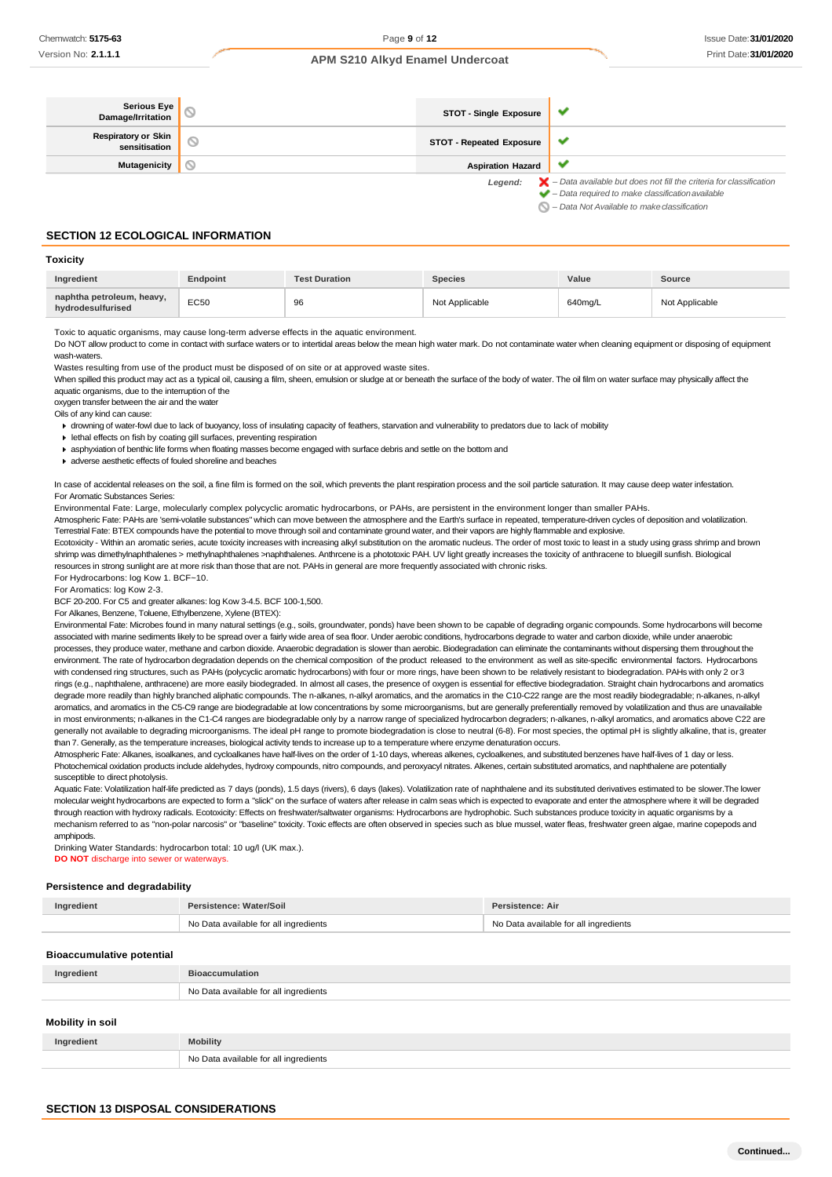| Serious Eye<br>Damage/Irritation            | STOT - Single Exposure          | ✔                                                                                                                                                                  |
|---------------------------------------------|---------------------------------|--------------------------------------------------------------------------------------------------------------------------------------------------------------------|
| <b>Respiratory or Skin</b><br>sensitisation | <b>STOT - Repeated Exposure</b> | v                                                                                                                                                                  |
| <b>Mutagenicity</b>                         | <b>Aspiration Hazard</b>        | v                                                                                                                                                                  |
|                                             | Legend:                         | $\blacktriangleright$ - Data available but does not fill the criteria for classification<br>$\blacktriangleright$ - Data required to make classification available |

*– Data Not Available to makeclassification*

### **SECTION 12 ECOLOGICAL INFORMATION**

| Toxicity                                       |          |                      |                |         |                |
|------------------------------------------------|----------|----------------------|----------------|---------|----------------|
| Ingredient                                     | Endpoint | <b>Test Duration</b> | <b>Species</b> | Value   | Source         |
| naphtha petroleum, heavy,<br>hydrodesulfurised | EC50     | 96                   | Not Applicable | 640mg/L | Not Applicable |

Toxic to aquatic organisms, may cause long-term adverse effects in the aquatic environment.

Do NOT allow product to come in contact with surface waters or to intertidal areas below the mean high water mark. Do not contaminate water when cleaning equipment or disposing of equipment wash-waters.

Wastes resulting from use of the product must be disposed of on site or at approved waste sites.

When spilled this product may act as a typical oil, causing a film, sheen, emulsion or sludge at or beneath the surface of the body of water. The oil film on water surface may physically affect the aquatic organisms, due to the interruption of the

oxygen transfer between the air and the water

Oils of any kind can cause:

drowning of water-fowl due to lack of buoyancy, loss of insulating capacity of feathers, starvation and vulnerability to predators due to lack of mobility

lethal effects on fish by coating gill surfaces, preventing respiration

- asphyxiation of benthic life forms when floating masses become engaged with surface debris and settle on the bottom and
- adverse aesthetic effects of fouled shoreline and beaches

In case of accidental releases on the soil, a fine film is formed on the soil, which prevents the plant respiration process and the soil particle saturation. It may cause deep water infestation. For Aromatic Substances Series:

Environmental Fate: Large, molecularly complex polycyclic aromatic hydrocarbons, or PAHs, are persistent in the environment longer than smaller PAHs.

Atmospheric Fate: PAHs are 'semi-volatile substances" which can move between the atmosphere and the Earth's surface in repeated, temperature-driven cycles of deposition and volatilization. Terrestrial Fate: BTEX compounds have the potential to move through soil and contaminate ground water, and their vapors are highly flammable and explosive.

Ecotoxicity - Within an aromatic series, acute toxicity increases with increasing alkyl substitution on the aromatic nucleus. The order of most toxic to least in a study using grass shrimp and brown shrimp was dimethylnaphthalenes > methylnaphthalenes >naphthalenes. Anthrcene is a phototoxic PAH. UV light greatly increases the toxicity of anthracene to bluegill sunfish. Biological resources in strong sunlight are at more risk than those that are not. PAHs in general are more frequently associated with chronic risks.

For Hydrocarbons: log Kow 1. BCF~10.

For Aromatics: log Kow 2-3.

BCF 20-200. For C5 and greater alkanes: log Kow 3-4.5. BCF 100-1,500.

For Alkanes, Benzene, Toluene, Ethylbenzene, Xylene (BTEX):

Environmental Fate: Microbes found in many natural settings (e.g., soils, groundwater, ponds) have been shown to be capable of degrading organic compounds. Some hydrocarbons will become associated with marine sediments likely to be spread over a fairly wide area of sea floor. Under aerobic conditions, hydrocarbons degrade to water and carbon dioxide, while under anaerobic processes, they produce water, methane and carbon dioxide. Anaerobic degradation is slower than aerobic. Biodegradation can eliminate the contaminants without dispersing them throughout the environment. The rate of hydrocarbon degradation depends on the chemical composition of the product released to the environment as well as site-specific environmental factors. Hydrocarbons with condensed ring structures, such as PAHs (polycyclic aromatic hydrocarbons) with four or more rings, have been shown to be relatively resistant to biodegradation. PAHs with only 2 or 3 rings (e.g., naphthalene, anthracene) are more easily biodegraded. In almost all cases, the presence of oxygen is essential for effective biodegradation. Straight chain hydrocarbons and aromatics degrade more readily than highly branched aliphatic compounds. The n-alkanes, n-alkyl aromatics, and the aromatics in the C10-C22 range are the most readily biodegradable; n-alkanes, n-alkyl aromatics, and aromatics in the C5-C9 range are biodegradable at low concentrations by some microorganisms, but are generally preferentially removed by volatilization and thus are unavailable in most environments; n-alkanes in the C1-C4 ranges are biodegradable only by a narrow range of specialized hydrocarbon degraders; n-alkanes, n-alkyl aromatics, and aromatics above C22 are generally not available to degrading microorganisms. The ideal pH range to promote biodegradation is close to neutral (6-8). For most species, the optimal pH is slightly alkaline, that is, greater than 7. Generally, as the temperature increases, biological activity tends to increase up to a temperature where enzyme denaturation occurs.

Atmospheric Fate: Alkanes, isoalkanes, and cycloalkanes have half-lives on the order of 1-10 days, whereas alkenes, cycloalkenes, and substituted benzenes have half-lives of 1 day or less. Photochemical oxidation products include aldehydes, hydroxy compounds, nitro compounds, and peroxyacyl nitrates, Alkenes, certain substituted aromatics, and naphthalene are potentially susceptible to direct photolysis.

Aquatic Fate: Volatilization half-life predicted as 7 days (ponds), 1.5 days (rivers), 6 days (lakes). Volatilization rate of naphthalene and its substituted derivatives estimated to be slower. The lower molecular weight hydrocarbons are expected to form a "slick" on the surface of waters after release in calm seas which is expected to evaporate and enter the atmosphere where it will be degraded through reaction with hydroxy radicals. Ecotoxicity: Effects on freshwater/saltwater organisms: Hydrocarbons are hydrophobic. Such substances produce toxicity in aquatic organisms by a mechanism referred to as "non-polar narcosis" or "baseline" toxicity. Toxic effects are often observed in species such as blue mussel, water fleas, freshwater green algae, marine copepods and amphipods.

Drinking Water Standards: hydrocarbon total: 10 ug/l (UK max.). **DO NOT** discharge into sewer or waterways.

#### **Persistence and degradability**

| Ingredient | Persistence: Water/Soil               | Persistence: Air                      |
|------------|---------------------------------------|---------------------------------------|
|            | No Data available for all ingredients | No Data available for all ingredients |

#### **Bioaccumulative potential**

| <b>Progocalitative potential</b> |                                       |
|----------------------------------|---------------------------------------|
| Ingredient                       | <b>Bioaccumulation</b>                |
|                                  | No Data available for all ingredients |
|                                  |                                       |
| Mobility in soil                 |                                       |

| No Data available for all ingredients |  |
|---------------------------------------|--|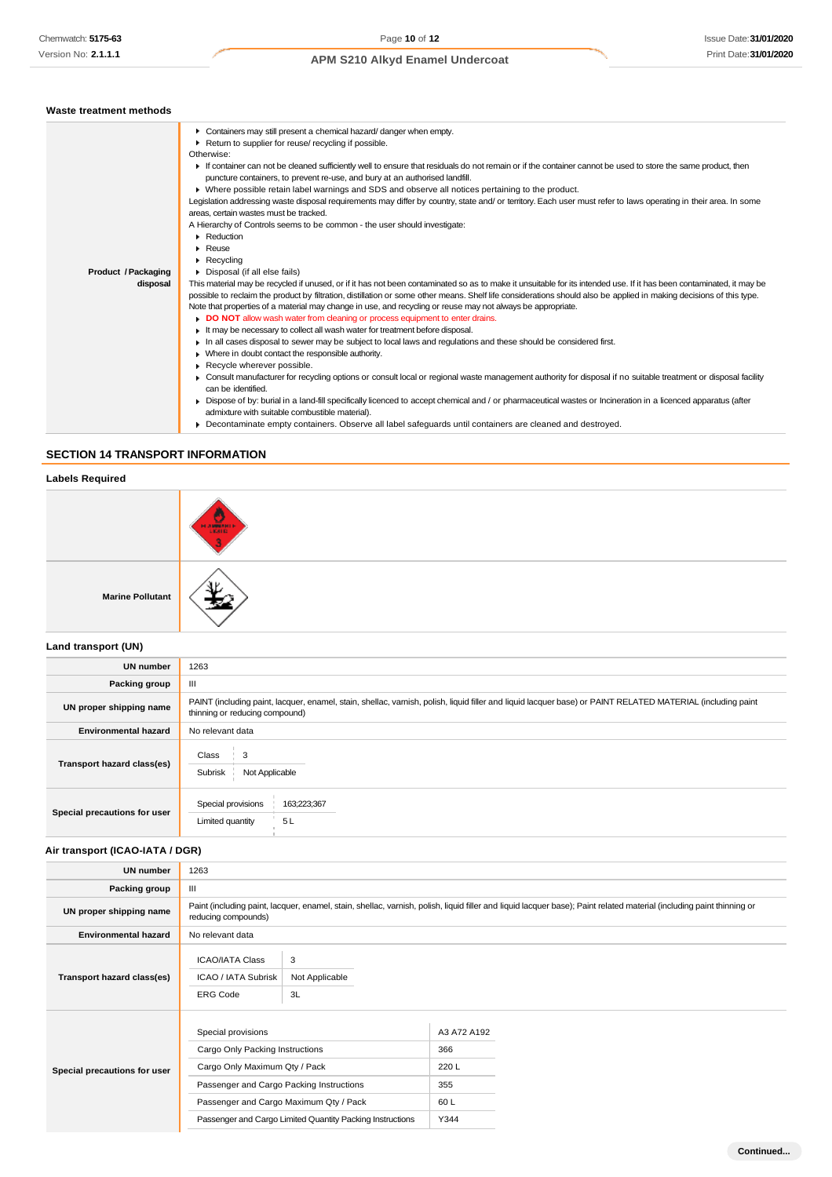# Issue Date:**31/01/2020** Print Date:**31/01/2020**

# **APM S210 Alkyd Enamel Undercoat**

| Waste treatment methods    |                                                                                                                                                                      |
|----------------------------|----------------------------------------------------------------------------------------------------------------------------------------------------------------------|
|                            | • Containers may still present a chemical hazard/danger when empty.                                                                                                  |
|                            | Return to supplier for reuse/ recycling if possible.                                                                                                                 |
|                            | Otherwise:                                                                                                                                                           |
|                            | If container can not be cleaned sufficiently well to ensure that residuals do not remain or if the container cannot be used to store the same product, then          |
|                            | puncture containers, to prevent re-use, and bury at an authorised landfill.                                                                                          |
|                            | ▶ Where possible retain label warnings and SDS and observe all notices pertaining to the product.                                                                    |
|                            | Legislation addressing waste disposal requirements may differ by country, state and/ or territory. Each user must refer to laws operating in their area. In some     |
|                            | areas, certain wastes must be tracked.                                                                                                                               |
|                            | A Hierarchy of Controls seems to be common - the user should investigate:                                                                                            |
|                            | • Reduction                                                                                                                                                          |
|                            | $\triangleright$ Reuse                                                                                                                                               |
|                            | $\blacktriangleright$ Recycling                                                                                                                                      |
| <b>Product / Packaging</b> | Disposal (if all else fails)                                                                                                                                         |
| disposal                   | This material may be recycled if unused, or if it has not been contaminated so as to make it unsuitable for its intended use. If it has been contaminated, it may be |
|                            | possible to reclaim the product by filtration, distillation or some other means. Shelf life considerations should also be applied in making decisions of this type.  |
|                            | Note that properties of a material may change in use, and recycling or reuse may not always be appropriate.                                                          |
|                            | DO NOT allow wash water from cleaning or process equipment to enter drains.                                                                                          |
|                            | It may be necessary to collect all wash water for treatment before disposal.                                                                                         |
|                            | In all cases disposal to sewer may be subject to local laws and regulations and these should be considered first.                                                    |
|                            | • Where in doubt contact the responsible authority.                                                                                                                  |
|                            | Recycle wherever possible.                                                                                                                                           |
|                            | ▶ Consult manufacturer for recycling options or consult local or regional waste management authority for disposal if no suitable treatment or disposal facility      |
|                            | can be identified.                                                                                                                                                   |
|                            | ► Dispose of by: burial in a land-fill specifically licenced to accept chemical and / or pharmaceutical wastes or Incineration in a licenced apparatus (after        |
|                            | admixture with suitable combustible material).                                                                                                                       |

Decontaminate empty containers. Observe all label safeguards until containers are cleaned and destroyed.

# **SECTION 14 TRANSPORT INFORMATION**

### **Labels Required**

|                         | <b>HANGINIE</b> |
|-------------------------|-----------------|
| <b>Marine Pollutant</b> | п.              |

# **Land transport (UN)**

| <b>UN number</b>             | 1263                                                                                                                                                                                          |  |  |
|------------------------------|-----------------------------------------------------------------------------------------------------------------------------------------------------------------------------------------------|--|--|
| Packing group                | Ш                                                                                                                                                                                             |  |  |
| UN proper shipping name      | PAINT (including paint, lacquer, enamel, stain, shellac, varnish, polish, liquid filler and liquid lacquer base) or PAINT RELATED MATERIAL (including paint<br>thinning or reducing compound) |  |  |
| <b>Environmental hazard</b>  | No relevant data                                                                                                                                                                              |  |  |
| Transport hazard class(es)   | Class<br>3<br>Subrisk<br>Not Applicable                                                                                                                                                       |  |  |
| Special precautions for user | Special provisions<br>163;223;367<br>5L<br>Limited quantity                                                                                                                                   |  |  |

# **Air transport (ICAO-IATA / DGR)**

| <b>UN number</b>             | 1263                                                                                                                                                                                         |                                                                                                     |                                                  |  |
|------------------------------|----------------------------------------------------------------------------------------------------------------------------------------------------------------------------------------------|-----------------------------------------------------------------------------------------------------|--------------------------------------------------|--|
| Packing group                | Ш                                                                                                                                                                                            |                                                                                                     |                                                  |  |
| UN proper shipping name      | Paint (including paint, lacquer, enamel, stain, shellac, varnish, polish, liquid filler and liquid lacquer base); Paint related material (including paint thinning or<br>reducing compounds) |                                                                                                     |                                                  |  |
| <b>Environmental hazard</b>  | No relevant data                                                                                                                                                                             |                                                                                                     |                                                  |  |
| Transport hazard class(es)   | <b>ICAO/IATA Class</b><br>ICAO / IATA Subrisk<br><b>ERG Code</b>                                                                                                                             | 3<br>Not Applicable<br>3L                                                                           |                                                  |  |
| Special precautions for user | Special provisions<br>Cargo Only Packing Instructions<br>Cargo Only Maximum Qty / Pack<br>Passenger and Cargo Packing Instructions                                                           | Passenger and Cargo Maximum Qty / Pack<br>Passenger and Cargo Limited Quantity Packing Instructions | A3 A72 A192<br>366<br>220L<br>355<br>60L<br>Y344 |  |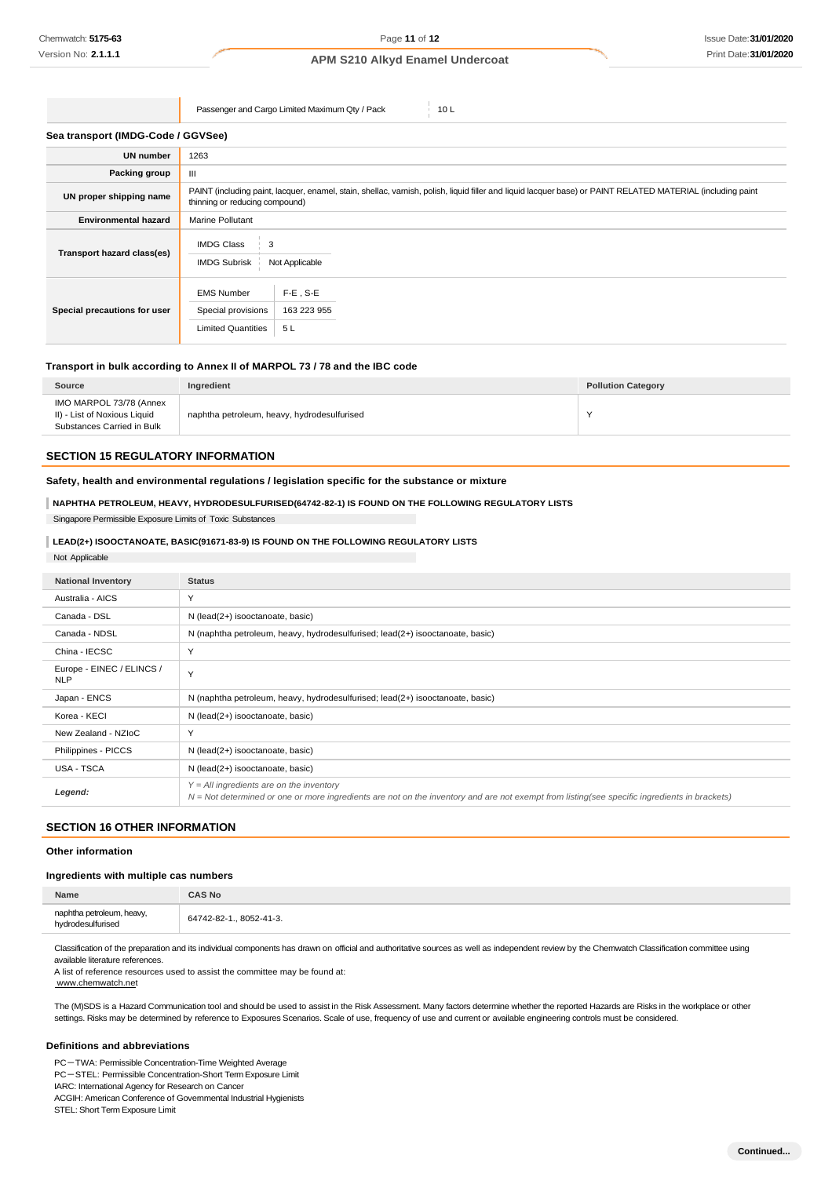Passenger and Cargo Limited Maximum Qty / Pack 10 L

#### **Sea transport (IMDG-Code / GGVSee)**

| <b>UN number</b>             | 1263                                                                                                                                                                                          |  |  |
|------------------------------|-----------------------------------------------------------------------------------------------------------------------------------------------------------------------------------------------|--|--|
| Packing group                | Ш                                                                                                                                                                                             |  |  |
| UN proper shipping name      | PAINT (including paint, lacquer, enamel, stain, shellac, varnish, polish, liquid filler and liquid lacquer base) or PAINT RELATED MATERIAL (including paint<br>thinning or reducing compound) |  |  |
| <b>Environmental hazard</b>  | Marine Pollutant                                                                                                                                                                              |  |  |
| Transport hazard class(es)   | <b>IMDG Class</b><br>3<br><b>IMDG Subrisk</b><br>Not Applicable                                                                                                                               |  |  |
| Special precautions for user | $F-E$ , S-E<br><b>EMS Number</b><br>163 223 955<br>Special provisions<br><b>Limited Quantities</b><br>5L                                                                                      |  |  |

### **Transport in bulk according to Annex II of MARPOL 73 / 78 and the IBC code**

| Source                                                                                | Ingredient                                  | <b>Pollution Category</b> |
|---------------------------------------------------------------------------------------|---------------------------------------------|---------------------------|
| IMO MARPOL 73/78 (Annex<br>II) - List of Noxious Liquid<br>Substances Carried in Bulk | naphtha petroleum, heavy, hydrodesulfurised |                           |

# **SECTION 15 REGULATORY INFORMATION**

### **Safety, health and environmental regulations / legislation specific for the substance or mixture**

### **NAPHTHA PETROLEUM, HEAVY, HYDRODESULFURISED(64742-82-1) IS FOUND ON THE FOLLOWING REGULATORY LISTS**

Singapore Permissible Exposure Limits of Toxic Substances

# **LEAD(2+) ISOOCTANOATE, BASIC(91671-83-9) IS FOUND ON THE FOLLOWING REGULATORY LISTS**

| Not Applicable                          |                                                                                                                                                                                              |
|-----------------------------------------|----------------------------------------------------------------------------------------------------------------------------------------------------------------------------------------------|
| <b>National Inventory</b>               | <b>Status</b>                                                                                                                                                                                |
| Australia - AICS                        | Y                                                                                                                                                                                            |
| Canada - DSL                            | N (lead(2+) isooctanoate, basic)                                                                                                                                                             |
| Canada - NDSL                           | N (naphtha petroleum, heavy, hydrodesulfurised; lead(2+) isooctanoate, basic)                                                                                                                |
| China - IECSC                           | Y                                                                                                                                                                                            |
| Europe - EINEC / ELINCS /<br><b>NLP</b> | Y                                                                                                                                                                                            |
| Japan - ENCS                            | N (naphtha petroleum, heavy, hydrodesulfurised; lead(2+) isooctanoate, basic)                                                                                                                |
| Korea - KECI                            | N (lead(2+) isooctanoate, basic)                                                                                                                                                             |
| New Zealand - NZIoC                     | Y                                                                                                                                                                                            |
| Philippines - PICCS                     | N (lead(2+) isooctanoate, basic)                                                                                                                                                             |
| <b>USA - TSCA</b>                       | N (lead(2+) isooctanoate, basic)                                                                                                                                                             |
| Legend:                                 | $Y = All$ ingredients are on the inventory<br>$N = Not$ determined or one or more ingredients are not on the inventory and are not exempt from listing(see specific ingredients in brackets) |

# **SECTION 16 OTHER INFORMATION**

# **Other information**

#### **Ingredients with multiple cas numbers**

| Name                                           | CAS No                  |
|------------------------------------------------|-------------------------|
| naphtha petroleum, heavy,<br>hydrodesulfurised | 64742-82-1., 8052-41-3. |

Classification of the preparation and its individual components has drawn on official and authoritative sources as well as independent review by the Chemwatch Classification committee using available literature references.

A list of reference resources used to assist the committee may be found at: [www.chemwatch.net](http://www.chemwatch.net/)

The (M)SDS is a Hazard Communication tool and should be used to assist in the Risk Assessment. Many factors determine whether the reported Hazards are Risks in the workplace or other settings. Risks may be determined by reference to Exposures Scenarios. Scale of use, frequency of use and current or available engineering controls must be considered.

#### **Definitions and abbreviations**

PC-TWA: Permissible Concentration-Time Weighted Average PC-STEL: Permissible Concentration-Short Term Exposure Limit IARC: International Agency for Research on Cancer ACGIH: American Conference of Governmental Industrial Hygienists STEL: Short Term Exposure Limit